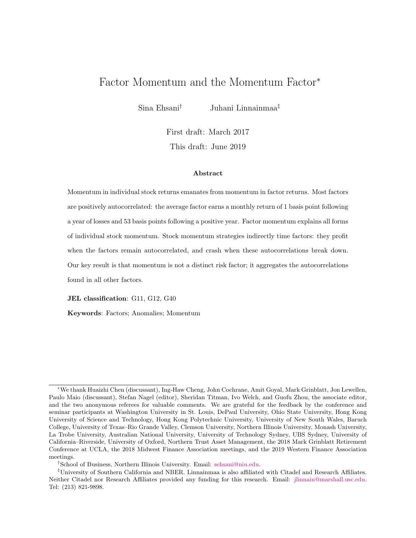# Factor Momentum and the Momentum Factor<sup>∗</sup>

Sina Ehsani† Juhani Linnainmaa‡

First draft: March 2017 This draft: June 2019

#### Abstract

Momentum in individual stock returns emanates from momentum in factor returns. Most factors are positively autocorrelated: the average factor earns a monthly return of 1 basis point following a year of losses and 53 basis points following a positive year. Factor momentum explains all forms of individual stock momentum. Stock momentum strategies indirectly time factors: they profit when the factors remain autocorrelated, and crash when these autocorrelations break down. Our key result is that momentum is not a distinct risk factor; it aggregates the autocorrelations found in all other factors.

JEL classification: G11, G12, G40

Keywords: Factors; Anomalies; Momentum

<sup>∗</sup>We thank Huaizhi Chen (discussant), Ing-Haw Cheng, John Cochrane, Amit Goyal, Mark Grinblatt, Jon Lewellen, Paulo Maio (discussant), Stefan Nagel (editor), Sheridan Titman, Ivo Welch, and Guofu Zhou, the associate editor, and the two anonymous referees for valuable comments. We are grateful for the feedback by the conference and seminar participants at Washington University in St. Louis, DePaul University, Ohio State University, Hong Kong University of Science and Technology, Hong Kong Polytechnic University, University of New South Wales, Baruch College, University of Texas–Rio Grande Valley, Clemson University, Northern Illinois University, Monash University, La Trobe University, Australian National University, University of Technology Sydney, UBS Sydney, University of California–Riverside, University of Oxford, Northern Trust Asset Management, the 2018 Mark Grinblatt Retirement Conference at UCLA, the 2018 Midwest Finance Association meetings, and the 2019 Western Finance Association meetings.

<sup>†</sup>School of Business, Northern Illinois University. Email: [sehsani@niu.edu.](mailto:sehsani@niu.edu)

<sup>‡</sup>University of Southern California and NBER. Linnainmaa is also affiliated with Citadel and Research Affiliates. Neither Citadel nor Research Affiliates provided any funding for this research. Email: [jlinnain@marshall.usc.edu.](mailto:jlinnain@marshall.usc.edu) Tel: (213) 821-9898.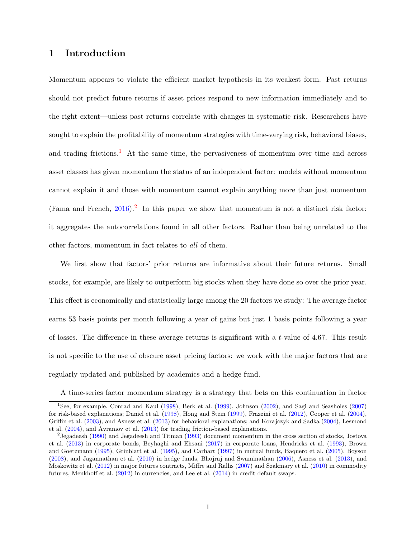## 1 Introduction

Momentum appears to violate the efficient market hypothesis in its weakest form. Past returns should not predict future returns if asset prices respond to new information immediately and to the right extent—unless past returns correlate with changes in systematic risk. Researchers have sought to explain the profitability of momentum strategies with time-varying risk, behavioral biases, and trading frictions.<sup>[1](#page-1-0)</sup> At the same time, the pervasiveness of momentum over time and across asset classes has given momentum the status of an independent factor: models without momentum cannot explain it and those with momentum cannot explain anything more than just momentum (Fama and French,  $2016$  $2016$ ).<sup>2</sup> In this paper we show that momentum is not a distinct risk factor: it aggregates the autocorrelations found in all other factors. Rather than being unrelated to the other factors, momentum in fact relates to all of them.

We first show that factors' prior returns are informative about their future returns. Small stocks, for example, are likely to outperform big stocks when they have done so over the prior year. This effect is economically and statistically large among the 20 factors we study: The average factor earns 53 basis points per month following a year of gains but just 1 basis points following a year of losses. The difference in these average returns is significant with a t-value of 4.67. This result is not specific to the use of obscure asset pricing factors: we work with the major factors that are regularly updated and published by academics and a hedge fund.

<span id="page-1-0"></span>A time-series factor momentum strategy is a strategy that bets on this continuation in factor

<sup>1</sup>See, for example, Conrad and Kaul [\(1998\)](#page-37-0), Berk et al. [\(1999\)](#page-37-1), Johnson [\(2002\)](#page-39-0), and Sagi and Seasholes [\(2007\)](#page-41-0) for risk-based explanations; Daniel et al. [\(1998\)](#page-38-1), Hong and Stein [\(1999\)](#page-39-1), Frazzini et al. [\(2012\)](#page-38-2), Cooper et al. [\(2004\)](#page-37-2), Griffin et al. [\(2003\)](#page-38-3), and Asness et al. [\(2013\)](#page-36-0) for behavioral explanations; and Korajczyk and Sadka [\(2004\)](#page-40-0), Lesmond et al. [\(2004\)](#page-40-1), and Avramov et al. [\(2013\)](#page-36-1) for trading friction-based explanations.

<span id="page-1-1"></span><sup>2</sup> Jegadeesh [\(1990\)](#page-39-2) and Jegadeesh and Titman [\(1993\)](#page-39-3) document momentum in the cross section of stocks, Jostova et al. [\(2013\)](#page-39-4) in corporate bonds, Beyhaghi and Ehsani [\(2017\)](#page-37-3) in corporate loans, Hendricks et al. [\(1993\)](#page-39-5), Brown and Goetzmann [\(1995\)](#page-37-4), Grinblatt et al. [\(1995\)](#page-39-6), and Carhart [\(1997\)](#page-37-5) in mutual funds, Baquero et al. [\(2005\)](#page-36-2), Boyson [\(2008\)](#page-37-6), and Jagannathan et al. [\(2010\)](#page-39-7) in hedge funds, Bhojraj and Swaminathan [\(2006\)](#page-37-7), Asness et al. [\(2013\)](#page-36-0), and Moskowitz et al. [\(2012\)](#page-41-1) in major futures contracts, Miffre and Rallis [\(2007\)](#page-40-2) and Szakmary et al. [\(2010\)](#page-41-2) in commodity futures, Menkhoff et al.  $(2012)$  in currencies, and Lee et al.  $(2014)$  in credit default swaps.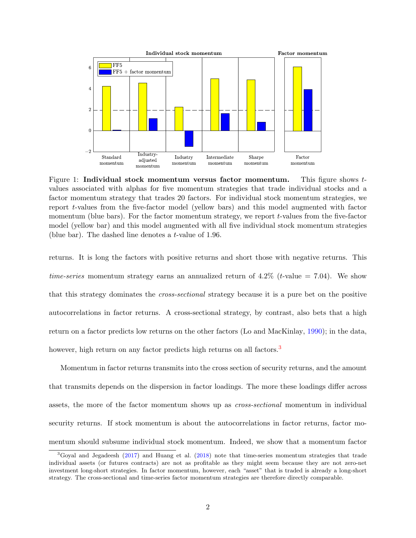<span id="page-2-1"></span>

Figure 1: Individual stock momentum versus factor momentum. This figure shows tvalues associated with alphas for five momentum strategies that trade individual stocks and a factor momentum strategy that trades 20 factors. For individual stock momentum strategies, we report t-values from the five-factor model (yellow bars) and this model augmented with factor momentum (blue bars). For the factor momentum strategy, we report  $t$ -values from the five-factor model (yellow bar) and this model augmented with all five individual stock momentum strategies (blue bar). The dashed line denotes a t-value of 1.96.

returns. It is long the factors with positive returns and short those with negative returns. This time-series momentum strategy earns an annualized return of  $4.2\%$  (t-value = 7.04). We show that this strategy dominates the cross-sectional strategy because it is a pure bet on the positive autocorrelations in factor returns. A cross-sectional strategy, by contrast, also bets that a high return on a factor predicts low returns on the other factors (Lo and MacKinlay, [1990\)](#page-40-5); in the data, however, high return on any factor predicts high returns on all factors.<sup>[3](#page-2-0)</sup>

Momentum in factor returns transmits into the cross section of security returns, and the amount that transmits depends on the dispersion in factor loadings. The more these loadings differ across assets, the more of the factor momentum shows up as cross-sectional momentum in individual security returns. If stock momentum is about the autocorrelations in factor returns, factor momentum should subsume individual stock momentum. Indeed, we show that a momentum factor

<span id="page-2-0"></span><sup>3</sup>Goyal and Jegadeesh [\(2017\)](#page-38-4) and Huang et al. [\(2018\)](#page-39-8) note that time-series momentum strategies that trade individual assets (or futures contracts) are not as profitable as they might seem because they are not zero-net investment long-short strategies. In factor momentum, however, each "asset" that is traded is already a long-short strategy. The cross-sectional and time-series factor momentum strategies are therefore directly comparable.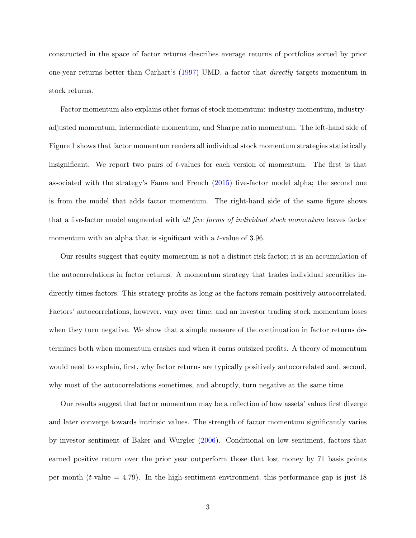constructed in the space of factor returns describes average returns of portfolios sorted by prior one-year returns better than Carhart's (1997) UMD, a factor that directly targets momentum in stock returns.

Factor momentum also explains other forms of stock momentum: industry momentum, industryadjusted momentum, intermediate momentum, and Sharpe ratio momentum. The left-hand side of Figure [1](#page-2-1) shows that factor momentum renders all individual stock momentum strategies statistically insignificant. We report two pairs of t-values for each version of momentum. The first is that associated with the strategy's Fama and French [\(2015\)](#page-38-5) five-factor model alpha; the second one is from the model that adds factor momentum. The right-hand side of the same figure shows that a five-factor model augmented with all five forms of individual stock momentum leaves factor momentum with an alpha that is significant with a t-value of 3.96.

Our results suggest that equity momentum is not a distinct risk factor; it is an accumulation of the autocorrelations in factor returns. A momentum strategy that trades individual securities indirectly times factors. This strategy profits as long as the factors remain positively autocorrelated. Factors' autocorrelations, however, vary over time, and an investor trading stock momentum loses when they turn negative. We show that a simple measure of the continuation in factor returns determines both when momentum crashes and when it earns outsized profits. A theory of momentum would need to explain, first, why factor returns are typically positively autocorrelated and, second, why most of the autocorrelations sometimes, and abruptly, turn negative at the same time.

Our results suggest that factor momentum may be a reflection of how assets' values first diverge and later converge towards intrinsic values. The strength of factor momentum significantly varies by investor sentiment of Baker and Wurgler [\(2006\)](#page-36-3). Conditional on low sentiment, factors that earned positive return over the prior year outperform those that lost money by 71 basis points per month (*t*-value  $= 4.79$ ). In the high-sentiment environment, this performance gap is just 18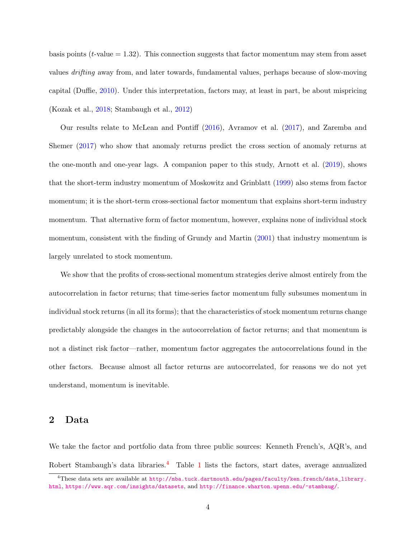basis points ( $t$ -value  $= 1.32$ ). This connection suggests that factor momentum may stem from asset values drifting away from, and later towards, fundamental values, perhaps because of slow-moving capital (Duffie, [2010\)](#page-38-6). Under this interpretation, factors may, at least in part, be about mispricing (Kozak et al., [2018;](#page-40-6) Stambaugh et al., [2012\)](#page-41-3)

Our results relate to McLean and Pontiff [\(2016\)](#page-40-7), Avramov et al. [\(2017\)](#page-36-4), and Zaremba and Shemer [\(2017\)](#page-42-0) who show that anomaly returns predict the cross section of anomaly returns at the one-month and one-year lags. A companion paper to this study, Arnott et al. [\(2019\)](#page-36-5), shows that the short-term industry momentum of Moskowitz and Grinblatt [\(1999\)](#page-40-8) also stems from factor momentum; it is the short-term cross-sectional factor momentum that explains short-term industry momentum. That alternative form of factor momentum, however, explains none of individual stock momentum, consistent with the finding of Grundy and Martin [\(2001\)](#page-39-9) that industry momentum is largely unrelated to stock momentum.

We show that the profits of cross-sectional momentum strategies derive almost entirely from the autocorrelation in factor returns; that time-series factor momentum fully subsumes momentum in individual stock returns (in all its forms); that the characteristics of stock momentum returns change predictably alongside the changes in the autocorrelation of factor returns; and that momentum is not a distinct risk factor—rather, momentum factor aggregates the autocorrelations found in the other factors. Because almost all factor returns are autocorrelated, for reasons we do not yet understand, momentum is inevitable.

### 2 Data

We take the factor and portfolio data from three public sources: Kenneth French's, AQR's, and Robert Stambaugh's data libraries.<sup>[4](#page-4-0)</sup> Table [1](#page-5-0) lists the factors, start dates, average annualized

<span id="page-4-0"></span><sup>4</sup>These data sets are available at [http://mba.tuck.dartmouth.edu/pages/faculty/ken.french/data\\_library.](http://mba.tuck.dartmouth.edu/pages/faculty/ken.french/data_library.html) [html](http://mba.tuck.dartmouth.edu/pages/faculty/ken.french/data_library.html), <https://www.aqr.com/insights/datasets>, and <http://finance.wharton.upenn.edu/~stambaug/>.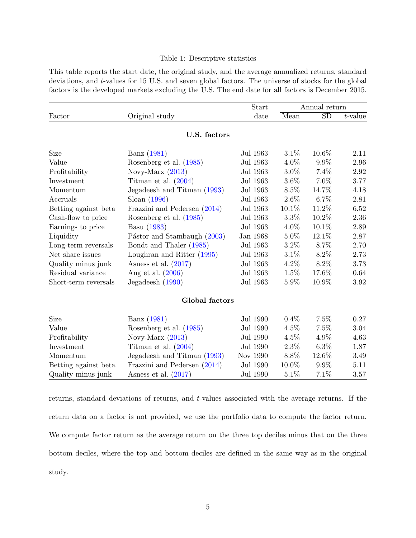#### Table 1: Descriptive statistics

<span id="page-5-0"></span>This table reports the start date, the original study, and the average annualized returns, standard deviations, and t-values for 15 U.S. and seven global factors. The universe of stocks for the global factors is the developed markets excluding the U.S. The end date for all factors is December 2015.

|                      |                                | Start    | Annual return |           |            |  |
|----------------------|--------------------------------|----------|---------------|-----------|------------|--|
| Factor               | Original study                 | date     | Mean          | <b>SD</b> | $t$ -value |  |
|                      | U.S. factors                   |          |               |           |            |  |
| Size                 | Banz (1981)                    | Jul 1963 | $3.1\%$       | 10.6%     | 2.11       |  |
| Value                | Rosenberg et al. (1985)        | Jul 1963 | $4.0\%$       | $9.9\%$   | 2.96       |  |
| Profitability        | Novy-Marx $(2013)$             | Jul 1963 | $3.0\%$       | 7.4%      | 2.92       |  |
| Investment           | Titman et al. $(2004)$         | Jul 1963 | $3.6\%$       | 7.0%      | 3.77       |  |
| Momentum             | Jegadeesh and Titman (1993)    | Jul 1963 | $8.5\%$       | 14.7%     | 4.18       |  |
| Accruals             | Sloan $(1996)$                 | Jul 1963 | 2.6%          | 6.7%      | 2.81       |  |
| Betting against beta | Frazzini and Pedersen $(2014)$ | Jul 1963 | 10.1%         | 11.2%     | 6.52       |  |
| Cash-flow to price   | Rosenberg et al. (1985)        | Jul 1963 | $3.3\%$       | 10.2%     | 2.36       |  |
| Earnings to price    | Basu (1983)                    | Jul 1963 | $4.0\%$       | 10.1%     | 2.89       |  |
| Liquidity            | Pástor and Stambaugh (2003)    | Jan 1968 | 5.0%          | 12.1%     | 2.87       |  |
| Long-term reversals  | Bondt and Thaler (1985)        | Jul 1963 | $3.2\%$       | 8.7%      | 2.70       |  |
| Net share issues     | Loughran and Ritter (1995)     | Jul 1963 | 3.1%          | 8.2%      | 2.73       |  |
| Quality minus junk   | Asness et al. $(2017)$         | Jul 1963 | $4.2\%$       | 8.2%      | 3.73       |  |
| Residual variance    | Ang et al. $(2006)$            | Jul 1963 | 1.5%          | 17.6%     | 0.64       |  |
| Short-term reversals | Jegadeesh (1990)               | Jul 1963 | 5.9%          | 10.9%     | 3.92       |  |
|                      | Global factors                 |          |               |           |            |  |
| Size                 | Banz (1981)                    | Jul 1990 | $0.4\%$       | 7.5%      | 0.27       |  |
| Value                | Rosenberg et al. (1985)        | Jul 1990 | $4.5\%$       | 7.5%      | 3.04       |  |
| Profitability        | Novy-Marx $(2013)$             | Jul 1990 | $4.5\%$       | 4.9%      | 4.63       |  |
| Investment           | Titman et al. $(2004)$         | Jul 1990 | $2.3\%$       | $6.3\%$   | 1.87       |  |
| Momentum             | Jegadeesh and Titman (1993)    | Nov 1990 | 8.8%          | 12.6%     | 3.49       |  |
| Betting against beta | Frazzini and Pedersen $(2014)$ | Jul 1990 | 10.0%         | 9.9%      | 5.11       |  |
| Quality minus junk   | Asness et al. $(2017)$         | Jul 1990 | 5.1%          | 7.1%      | 3.57       |  |

returns, standard deviations of returns, and t-values associated with the average returns. If the return data on a factor is not provided, we use the portfolio data to compute the factor return. We compute factor return as the average return on the three top deciles minus that on the three bottom deciles, where the top and bottom deciles are defined in the same way as in the original study.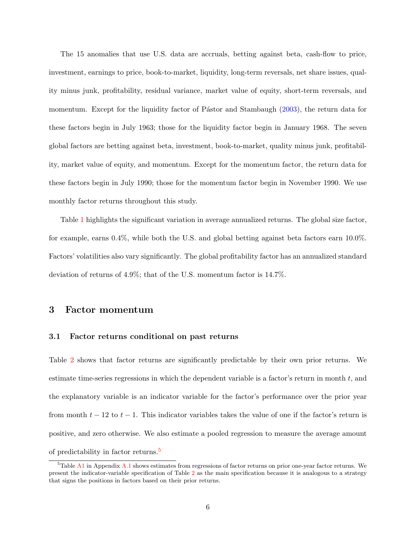The 15 anomalies that use U.S. data are accruals, betting against beta, cash-flow to price, investment, earnings to price, book-to-market, liquidity, long-term reversals, net share issues, quality minus junk, profitability, residual variance, market value of equity, short-term reversals, and momentum. Except for the liquidity factor of Pástor and Stambaugh [\(2003\)](#page-41-8), the return data for these factors begin in July 1963; those for the liquidity factor begin in January 1968. The seven global factors are betting against beta, investment, book-to-market, quality minus junk, profitability, market value of equity, and momentum. Except for the momentum factor, the return data for these factors begin in July 1990; those for the momentum factor begin in November 1990. We use monthly factor returns throughout this study.

Table [1](#page-5-0) highlights the significant variation in average annualized returns. The global size factor, for example, earns 0.4%, while both the U.S. and global betting against beta factors earn 10.0%. Factors' volatilities also vary significantly. The global profitability factor has an annualized standard deviation of returns of 4.9%; that of the U.S. momentum factor is 14.7%.

### 3 Factor momentum

#### 3.1 Factor returns conditional on past returns

Table [2](#page-8-0) shows that factor returns are significantly predictable by their own prior returns. We estimate time-series regressions in which the dependent variable is a factor's return in month  $t$ , and the explanatory variable is an indicator variable for the factor's performance over the prior year from month  $t - 12$  to  $t - 1$ . This indicator variables takes the value of one if the factor's return is positive, and zero otherwise. We also estimate a pooled regression to measure the average amount of predictability in factor returns.[5](#page-6-0)

<span id="page-6-0"></span><sup>5</sup>Table [A1](#page-5-0) in Appendix [A.1](#page-43-0) shows estimates from regressions of factor returns on prior one-year factor returns. We present the indicator-variable specification of Table [2](#page-8-0) as the main specification because it is analogous to a strategy that signs the positions in factors based on their prior returns.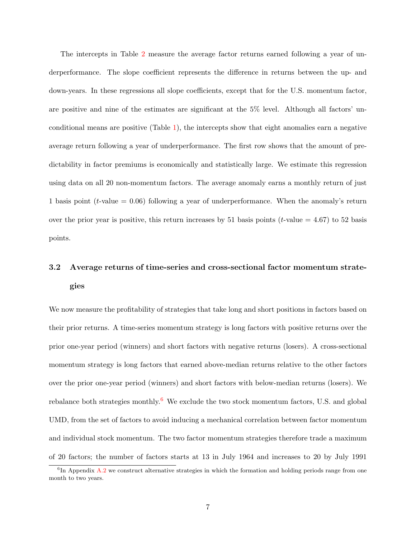The intercepts in Table [2](#page-8-0) measure the average factor returns earned following a year of underperformance. The slope coefficient represents the difference in returns between the up- and down-years. In these regressions all slope coefficients, except that for the U.S. momentum factor, are positive and nine of the estimates are significant at the 5% level. Although all factors' unconditional means are positive  $(Table 1)$  $(Table 1)$ , the intercepts show that eight anomalies earn a negative average return following a year of underperformance. The first row shows that the amount of predictability in factor premiums is economically and statistically large. We estimate this regression using data on all 20 non-momentum factors. The average anomaly earns a monthly return of just 1 basis point ( $t$ -value = 0.06) following a year of underperformance. When the anomaly's return over the prior year is positive, this return increases by 51 basis points ( $t$ -value = 4.67) to 52 basis points.

# 3.2 Average returns of time-series and cross-sectional factor momentum strategies

We now measure the profitability of strategies that take long and short positions in factors based on their prior returns. A time-series momentum strategy is long factors with positive returns over the prior one-year period (winners) and short factors with negative returns (losers). A cross-sectional momentum strategy is long factors that earned above-median returns relative to the other factors over the prior one-year period (winners) and short factors with below-median returns (losers). We rebalance both strategies monthly.<sup>[6](#page-7-0)</sup> We exclude the two stock momentum factors, U.S. and global UMD, from the set of factors to avoid inducing a mechanical correlation between factor momentum and individual stock momentum. The two factor momentum strategies therefore trade a maximum of 20 factors; the number of factors starts at 13 in July 1964 and increases to 20 by July 1991

<span id="page-7-0"></span><sup>&</sup>lt;sup>6</sup>In Appendix [A.2](#page-43-1) we construct alternative strategies in which the formation and holding periods range from one month to two years.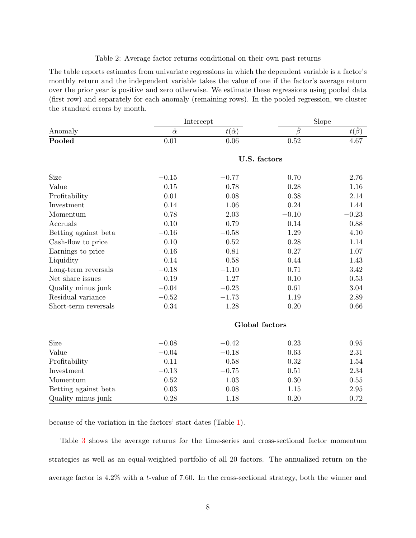#### Table 2: Average factor returns conditional on their own past returns

<span id="page-8-0"></span>The table reports estimates from univariate regressions in which the dependent variable is a factor's monthly return and the independent variable takes the value of one if the factor's average return over the prior year is positive and zero otherwise. We estimate these regressions using pooled data (first row) and separately for each anomaly (remaining rows). In the pooled regression, we cluster the standard errors by month.

|                      |                | Intercept         | <b>Slope</b>   |            |  |
|----------------------|----------------|-------------------|----------------|------------|--|
| Anomaly              | $\hat{\alpha}$ | $t(\hat{\alpha})$ | $\ddot{\beta}$ | $t(\beta)$ |  |
| Pooled               | 0.01           | 0.06              | 0.52           | 4.67       |  |
|                      |                | U.S. factors      |                |            |  |
| Size                 | $-0.15$        | $-0.77$           | 0.70           | 2.76       |  |
| Value                | 0.15           | 0.78              | 0.28           | 1.16       |  |
| Profitability        | 0.01           | 0.08              | 0.38           | 2.14       |  |
| Investment           | 0.14           | 1.06              | 0.24           | 1.44       |  |
| Momentum             | 0.78           | 2.03              | $-0.10$        | $-0.23$    |  |
| Accruals             | 0.10           | 0.79              | 0.14           | 0.88       |  |
| Betting against beta | $-0.16$        | $-0.58$           | 1.29           | 4.10       |  |
| Cash-flow to price   | 0.10           | 0.52              | 0.28           | 1.14       |  |
| Earnings to price    | 0.16           | 0.81              | 0.27           | 1.07       |  |
| Liquidity            | 0.14           | 0.58              | 0.44           | 1.43       |  |
| Long-term reversals  | $-0.18$        | $-1.10$           | 0.71           | 3.42       |  |
| Net share issues     | 0.19           | 1.27              | 0.10           | 0.53       |  |
| Quality minus junk   | $-0.04$        | $-0.23$           | 0.61           | 3.04       |  |
| Residual variance    | $-0.52$        | $-1.73$           | 1.19           | 2.89       |  |
| Short-term reversals | $0.34\,$       | 1.28              | $0.20\,$       | 0.66       |  |
|                      |                | Global factors    |                |            |  |
| Size                 | $-0.08$        | $-0.42$           | 0.23           | 0.95       |  |
| Value                | $-0.04$        | $-0.18$           | 0.63           | 2.31       |  |
| Profitability        | 0.11           | 0.58              | 0.32           | 1.54       |  |
| Investment           | $-0.13$        | $-0.75$           | 0.51           | 2.34       |  |
| Momentum             | 0.52           | 1.03              | 0.30           | $0.55\,$   |  |
| Betting against beta | 0.03           | 0.08              | 1.15           | $2.95\,$   |  |
| Quality minus junk   | 0.28           | 1.18              | 0.20           | 0.72       |  |

because of the variation in the factors' start dates (Table [1\)](#page-5-0).

Table [3](#page-9-0) shows the average returns for the time-series and cross-sectional factor momentum strategies as well as an equal-weighted portfolio of all 20 factors. The annualized return on the average factor is 4.2% with a t-value of 7.60. In the cross-sectional strategy, both the winner and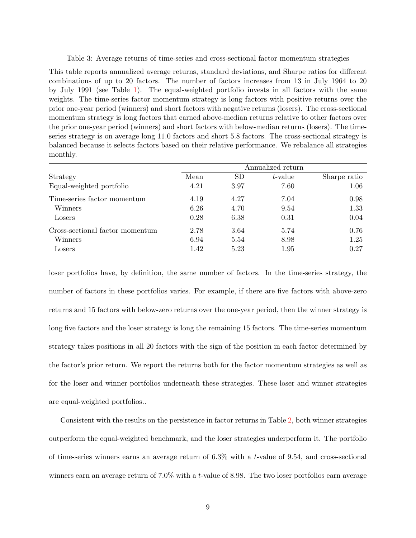<span id="page-9-0"></span>Table 3: Average returns of time-series and cross-sectional factor momentum strategies

This table reports annualized average returns, standard deviations, and Sharpe ratios for different combinations of up to 20 factors. The number of factors increases from 13 in July 1964 to 20 by July 1991 (see Table [1\)](#page-5-0). The equal-weighted portfolio invests in all factors with the same weights. The time-series factor momentum strategy is long factors with positive returns over the prior one-year period (winners) and short factors with negative returns (losers). The cross-sectional momentum strategy is long factors that earned above-median returns relative to other factors over the prior one-year period (winners) and short factors with below-median returns (losers). The timeseries strategy is on average long 11.0 factors and short 5.8 factors. The cross-sectional strategy is balanced because it selects factors based on their relative performance. We rebalance all strategies monthly.

|                                 | Annualized return |           |         |              |  |  |  |
|---------------------------------|-------------------|-----------|---------|--------------|--|--|--|
| Strategy                        | Mean              | <b>SD</b> | t-value | Sharpe ratio |  |  |  |
| Equal-weighted portfolio        | 4.21              | 3.97      | 7.60    | 1.06         |  |  |  |
| Time-series factor momentum     | 4.19              | 4.27      | 7.04    | 0.98         |  |  |  |
| Winners                         | 6.26              | 4.70      | 9.54    | 1.33         |  |  |  |
| Losers                          | 0.28              | 6.38      | 0.31    | 0.04         |  |  |  |
| Cross-sectional factor momentum | 2.78              | 3.64      | 5.74    | 0.76         |  |  |  |
| Winners                         | 6.94              | 5.54      | 8.98    | 1.25         |  |  |  |
| Losers                          | 1.42              | 5.23      | 1.95    | 0.27         |  |  |  |

loser portfolios have, by definition, the same number of factors. In the time-series strategy, the number of factors in these portfolios varies. For example, if there are five factors with above-zero returns and 15 factors with below-zero returns over the one-year period, then the winner strategy is long five factors and the loser strategy is long the remaining 15 factors. The time-series momentum strategy takes positions in all 20 factors with the sign of the position in each factor determined by the factor's prior return. We report the returns both for the factor momentum strategies as well as for the loser and winner portfolios underneath these strategies. These loser and winner strategies are equal-weighted portfolios..

Consistent with the results on the persistence in factor returns in Table [2,](#page-8-0) both winner strategies outperform the equal-weighted benchmark, and the loser strategies underperform it. The portfolio of time-series winners earns an average return of 6.3% with a t-value of 9.54, and cross-sectional winners earn an average return of 7.0% with a t-value of 8.98. The two loser portfolios earn average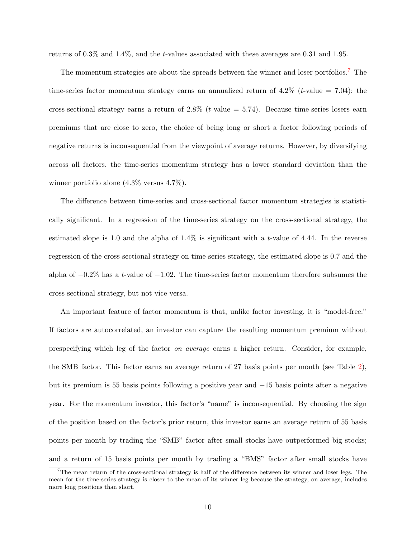returns of 0.3% and 1.4%, and the t-values associated with these averages are 0.31 and 1.95.

The momentum strategies are about the spreads between the winner and loser portfolios.<sup>[7](#page-10-0)</sup> The time-series factor momentum strategy earns an annualized return of  $4.2\%$  (*t*-value  $= 7.04$ ); the cross-sectional strategy earns a return of  $2.8\%$  (*t*-value  $= 5.74$ ). Because time-series losers earn premiums that are close to zero, the choice of being long or short a factor following periods of negative returns is inconsequential from the viewpoint of average returns. However, by diversifying across all factors, the time-series momentum strategy has a lower standard deviation than the winner portfolio alone (4.3% versus 4.7%).

The difference between time-series and cross-sectional factor momentum strategies is statistically significant. In a regression of the time-series strategy on the cross-sectional strategy, the estimated slope is 1.0 and the alpha of  $1.4\%$  is significant with a t-value of 4.44. In the reverse regression of the cross-sectional strategy on time-series strategy, the estimated slope is 0.7 and the alpha of  $-0.2\%$  has a t-value of  $-1.02$ . The time-series factor momentum therefore subsumes the cross-sectional strategy, but not vice versa.

An important feature of factor momentum is that, unlike factor investing, it is "model-free." If factors are autocorrelated, an investor can capture the resulting momentum premium without prespecifying which leg of the factor on average earns a higher return. Consider, for example, the SMB factor. This factor earns an average return of 27 basis points per month (see Table [2\)](#page-8-0), but its premium is 55 basis points following a positive year and −15 basis points after a negative year. For the momentum investor, this factor's "name" is inconsequential. By choosing the sign of the position based on the factor's prior return, this investor earns an average return of 55 basis points per month by trading the "SMB" factor after small stocks have outperformed big stocks; and a return of 15 basis points per month by trading a "BMS" factor after small stocks have

<span id="page-10-0"></span><sup>7</sup>The mean return of the cross-sectional strategy is half of the difference between its winner and loser legs. The mean for the time-series strategy is closer to the mean of its winner leg because the strategy, on average, includes more long positions than short.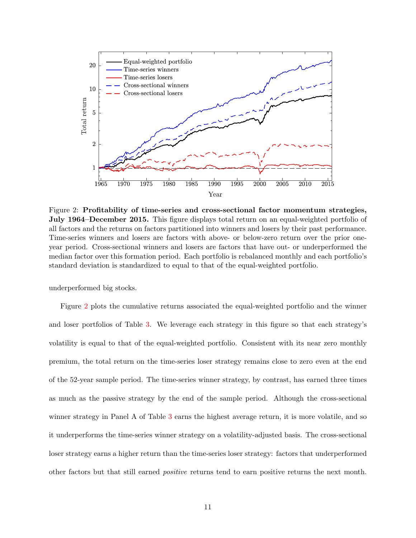

<span id="page-11-0"></span>Figure 2: Profitability of time-series and cross-sectional factor momentum strategies, July 1964–December 2015. This figure displays total return on an equal-weighted portfolio of all factors and the returns on factors partitioned into winners and losers by their past performance. Time-series winners and losers are factors with above- or below-zero return over the prior oneyear period. Cross-sectional winners and losers are factors that have out- or underperformed the median factor over this formation period. Each portfolio is rebalanced monthly and each portfolio's standard deviation is standardized to equal to that of the equal-weighted portfolio.

underperformed big stocks.

Figure [2](#page-11-0) plots the cumulative returns associated the equal-weighted portfolio and the winner and loser portfolios of Table [3.](#page-9-0) We leverage each strategy in this figure so that each strategy's volatility is equal to that of the equal-weighted portfolio. Consistent with its near zero monthly premium, the total return on the time-series loser strategy remains close to zero even at the end of the 52-year sample period. The time-series winner strategy, by contrast, has earned three times as much as the passive strategy by the end of the sample period. Although the cross-sectional winner strategy in Panel A of Table [3](#page-9-0) earns the highest average return, it is more volatile, and so it underperforms the time-series winner strategy on a volatility-adjusted basis. The cross-sectional loser strategy earns a higher return than the time-series loser strategy: factors that underperformed other factors but that still earned positive returns tend to earn positive returns the next month.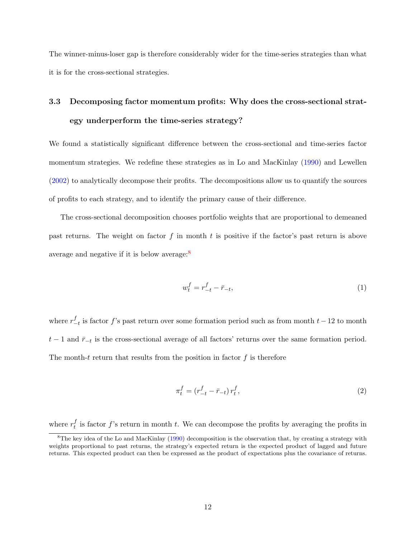The winner-minus-loser gap is therefore considerably wider for the time-series strategies than what it is for the cross-sectional strategies.

# 3.3 Decomposing factor momentum profits: Why does the cross-sectional strategy underperform the time-series strategy?

We found a statistically significant difference between the cross-sectional and time-series factor momentum strategies. We redefine these strategies as in Lo and MacKinlay [\(1990\)](#page-40-5) and Lewellen [\(2002\)](#page-40-10) to analytically decompose their profits. The decompositions allow us to quantify the sources of profits to each strategy, and to identify the primary cause of their difference.

The cross-sectional decomposition chooses portfolio weights that are proportional to demeaned past returns. The weight on factor f in month t is positive if the factor's past return is above average and negative if it is below average:[8](#page-12-0)

$$
w_t^f = r_{-t}^f - \bar{r}_{-t},\tag{1}
$$

where  $r_-^f$  $\frac{f}{-t}$  is factor f's past return over some formation period such as from month  $t-12$  to month  $t-1$  and  $\bar{r}_{-t}$  is the cross-sectional average of all factors' returns over the same formation period. The month-t return that results from the position in factor  $f$  is therefore

<span id="page-12-1"></span>
$$
\pi_t^f = (r_{-t}^f - \bar{r}_{-t}) r_t^f,\tag{2}
$$

where  $r_t^f$  $_t^I$  is factor f's return in month t. We can decompose the profits by averaging the profits in

<span id="page-12-0"></span><sup>&</sup>lt;sup>8</sup>The key idea of the Lo and MacKinlay [\(1990\)](#page-40-5) decomposition is the observation that, by creating a strategy with weights proportional to past returns, the strategy's expected return is the expected product of lagged and future returns. This expected product can then be expressed as the product of expectations plus the covariance of returns.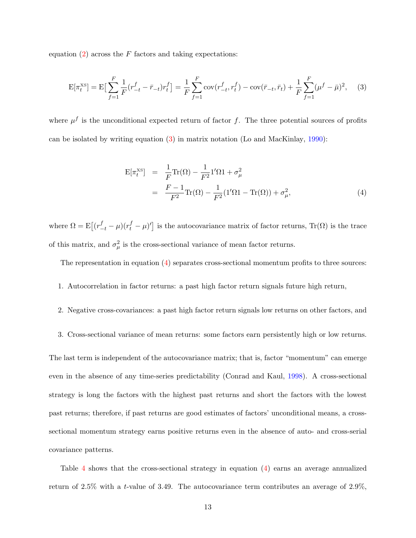equation  $(2)$  across the F factors and taking expectations:

<span id="page-13-0"></span>
$$
E[\pi_t^{XS}] = E\left[\sum_{f=1}^F \frac{1}{F}(r_{-t}^f - \bar{r}_{-t})r_t^f\right] = \frac{1}{F}\sum_{f=1}^F \text{cov}(r_{-t}^f, r_t^f) - \text{cov}(\bar{r}_{-t}, \bar{r}_t) + \frac{1}{F}\sum_{f=1}^F (\mu^f - \bar{\mu})^2, \tag{3}
$$

where  $\mu^{f}$  is the unconditional expected return of factor f. The three potential sources of profits can be isolated by writing equation [\(3\)](#page-13-0) in matrix notation (Lo and MacKinlay, [1990\)](#page-40-5):

<span id="page-13-1"></span>
$$
E[\pi_t^{XS}] = \frac{1}{F} \text{Tr}(\Omega) - \frac{1}{F^2} \mathbf{1}' \Omega \mathbf{1} + \sigma_\mu^2
$$
  
= 
$$
\frac{F - 1}{F^2} \text{Tr}(\Omega) - \frac{1}{F^2} (\mathbf{1}' \Omega \mathbf{1} - \text{Tr}(\Omega)) + \sigma_\mu^2,
$$
 (4)

where  $\Omega = \mathrm{E}\left[ (r_{-t}^f - \mu)(r_t^f - \mu)' \right]$  is the autocovariance matrix of factor returns,  $\mathrm{Tr}(\Omega)$  is the trace of this matrix, and  $\sigma_{\mu}^2$  is the cross-sectional variance of mean factor returns.

The representation in equation  $(4)$  separates cross-sectional momentum profits to three sources:

- 1. Autocorrelation in factor returns: a past high factor return signals future high return,
- 2. Negative cross-covariances: a past high factor return signals low returns on other factors, and
- 3. Cross-sectional variance of mean returns: some factors earn persistently high or low returns.

The last term is independent of the autocovariance matrix; that is, factor "momentum" can emerge even in the absence of any time-series predictability (Conrad and Kaul, [1998\)](#page-37-0). A cross-sectional strategy is long the factors with the highest past returns and short the factors with the lowest past returns; therefore, if past returns are good estimates of factors' unconditional means, a crosssectional momentum strategy earns positive returns even in the absence of auto- and cross-serial covariance patterns.

Table [4](#page-14-0) shows that the cross-sectional strategy in equation [\(4\)](#page-13-1) earns an average annualized return of 2.5% with a t-value of 3.49. The autocovariance term contributes an average of 2.9%,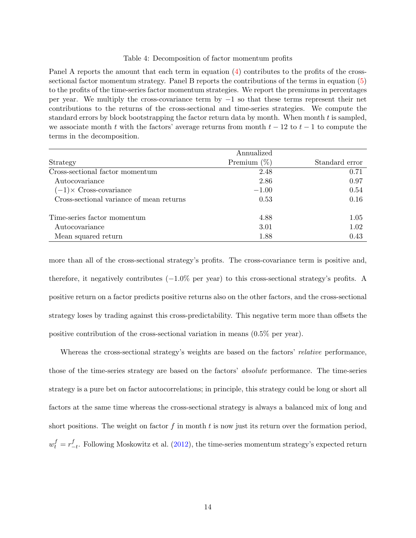#### Table 4: Decomposition of factor momentum profits

<span id="page-14-0"></span>Panel A reports the amount that each term in equation [\(4\)](#page-13-1) contributes to the profits of the crosssectional factor momentum strategy. Panel B reports the contributions of the terms in equation [\(5\)](#page-15-0) to the profits of the time-series factor momentum strategies. We report the premiums in percentages per year. We multiply the cross-covariance term by −1 so that these terms represent their net contributions to the returns of the cross-sectional and time-series strategies. We compute the standard errors by block bootstrapping the factor return data by month. When month  $t$  is sampled, we associate month t with the factors' average returns from month  $t - 12$  to  $t - 1$  to compute the terms in the decomposition.

|                                          | Annualized     |                |
|------------------------------------------|----------------|----------------|
| Strategy                                 | Premium $(\%)$ | Standard error |
| Cross-sectional factor momentum          | 2.48           | 0.71           |
| Autocovariance                           | 2.86           | 0.97           |
| $(-1) \times$ Cross-covariance           | $-1.00$        | 0.54           |
| Cross-sectional variance of mean returns | 0.53           | 0.16           |
| Time-series factor momentum              | 4.88           | 1.05           |
| Autocovariance                           | 3.01           | 1.02           |
| Mean squared return                      | 1.88           | 0.43           |

more than all of the cross-sectional strategy's profits. The cross-covariance term is positive and, therefore, it negatively contributes (−1.0% per year) to this cross-sectional strategy's profits. A positive return on a factor predicts positive returns also on the other factors, and the cross-sectional strategy loses by trading against this cross-predictability. This negative term more than offsets the positive contribution of the cross-sectional variation in means (0.5% per year).

Whereas the cross-sectional strategy's weights are based on the factors' relative performance, those of the time-series strategy are based on the factors' absolute performance. The time-series strategy is a pure bet on factor autocorrelations; in principle, this strategy could be long or short all factors at the same time whereas the cross-sectional strategy is always a balanced mix of long and short positions. The weight on factor  $f$  in month  $t$  is now just its return over the formation period,  $w_t^f = r_-^f$  $_{-t}^{J}$ . Following Moskowitz et al. [\(2012\)](#page-41-1), the time-series momentum strategy's expected return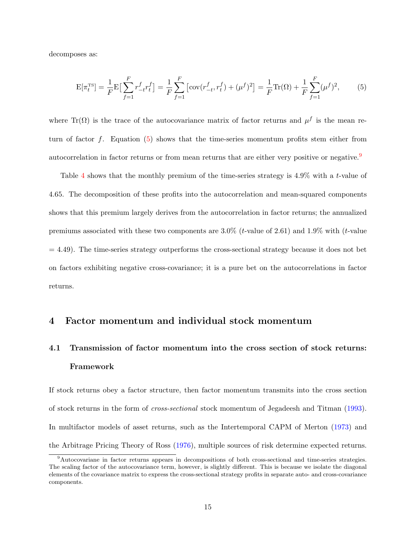decomposes as:

<span id="page-15-0"></span>
$$
E[\pi_t^{TS}] = \frac{1}{F} E\left[\sum_{f=1}^F r_{-t}^f r_t^f\right] = \frac{1}{F} \sum_{f=1}^F \left[\text{cov}(r_{-t}^f, r_t^f) + (\mu^f)^2\right] = \frac{1}{F} \text{Tr}(\Omega) + \frac{1}{F} \sum_{f=1}^F (\mu^f)^2,\tag{5}
$$

where Tr( $\Omega$ ) is the trace of the autocovariance matrix of factor returns and  $\mu^f$  is the mean return of factor  $f$ . Equation  $(5)$  shows that the time-series momentum profits stem either from autocorrelation in factor returns or from mean returns that are either very positive or negative.<sup>[9](#page-15-1)</sup>

Table [4](#page-14-0) shows that the monthly premium of the time-series strategy is 4.9% with a t-value of 4.65. The decomposition of these profits into the autocorrelation and mean-squared components shows that this premium largely derives from the autocorrelation in factor returns; the annualized premiums associated with these two components are  $3.0\%$  (*t*-value of 2.61) and 1.9% with (*t*-value  $= 4.49$ ). The time-series strategy outperforms the cross-sectional strategy because it does not bet on factors exhibiting negative cross-covariance; it is a pure bet on the autocorrelations in factor returns.

## 4 Factor momentum and individual stock momentum

# <span id="page-15-2"></span>4.1 Transmission of factor momentum into the cross section of stock returns: Framework

If stock returns obey a factor structure, then factor momentum transmits into the cross section of stock returns in the form of cross-sectional stock momentum of Jegadeesh and Titman [\(1993\)](#page-39-3). In multifactor models of asset returns, such as the Intertemporal CAPM of Merton [\(1973\)](#page-40-11) and the Arbitrage Pricing Theory of Ross [\(1976\)](#page-41-9), multiple sources of risk determine expected returns.

<span id="page-15-1"></span><sup>9</sup>Autocovariane in factor returns appears in decompositions of both cross-sectional and time-series strategies. The scaling factor of the autocovariance term, however, is slightly different. This is because we isolate the diagonal elements of the covariance matrix to express the cross-sectional strategy profits in separate auto- and cross-covariance components.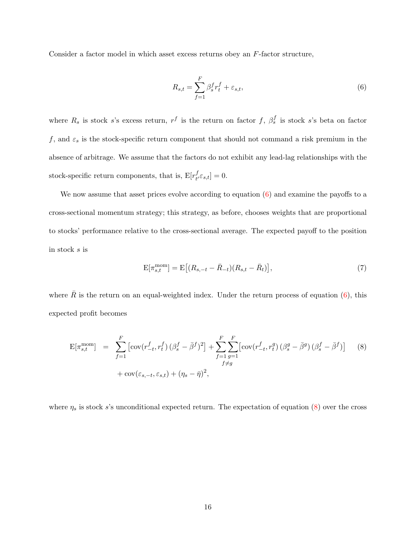Consider a factor model in which asset excess returns obey an F-factor structure,

<span id="page-16-0"></span>
$$
R_{s,t} = \sum_{f=1}^{F} \beta_s^f r_t^f + \varepsilon_{s,t},\tag{6}
$$

where  $R_s$  is stock s's excess return,  $r^f$  is the return on factor f,  $\beta_s^f$  is stock s's beta on factor f, and  $\varepsilon_s$  is the stock-specific return component that should not command a risk premium in the absence of arbitrage. We assume that the factors do not exhibit any lead-lag relationships with the stock-specific return components, that is,  $E[r_t^f]$  $_{t'}^J\varepsilon_{s,t}]=0.$ 

We now assume that asset prices evolve according to equation  $(6)$  and examine the payoffs to a cross-sectional momentum strategy; this strategy, as before, chooses weights that are proportional to stocks' performance relative to the cross-sectional average. The expected payoff to the position in stock s is

$$
E[\pi_{s,t}^{\text{mom}}] = E[(R_{s,-t} - \bar{R}_{-t})(R_{s,t} - \bar{R}_{t})],
$$
\n(7)

where  $\bar{R}$  is the return on an equal-weighted index. Under the return process of equation [\(6\)](#page-16-0), this expected profit becomes

<span id="page-16-1"></span>
$$
\mathbf{E}[\pi_{s,t}^{\text{mom}}] = \sum_{f=1}^{F} \left[ \text{cov}(r_{-t}^f, r_t^f) \left( \beta_s^f - \bar{\beta}^f \right)^2 \right] + \sum_{f=1}^{F} \sum_{g=1}^{F} \left[ \text{cov}(r_{-t}^f, r_t^g) \left( \beta_s^g - \bar{\beta}^g \right) \left( \beta_s^f - \bar{\beta}^f \right) \right] \tag{8}
$$
\n
$$
+ \text{cov}(\varepsilon_{s,-t}, \varepsilon_{s,t}) + (\eta_s - \bar{\eta})^2,
$$

where  $\eta_s$  is stock s's unconditional expected return. The expectation of equation [\(8\)](#page-16-1) over the cross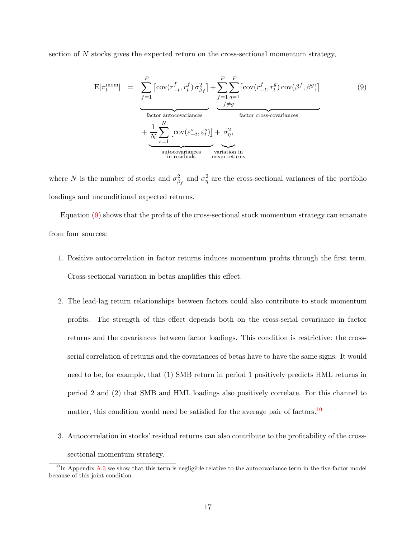section of  $N$  stocks gives the expected return on the cross-sectional momentum strategy,

<span id="page-17-0"></span>
$$
E[\pi_t^{\text{mom}}] = \underbrace{\sum_{f=1}^F \left[ \text{cov}(r_{-t}^f, r_t^f) \sigma_{\beta_f}^2 \right] + \sum_{f=1}^F \sum_{g=1}^F \left[ \text{cov}(r_{-t}^f, r_t^g) \text{cov}(\beta^f, \beta^g) \right]}_{\text{factor autocovariances}}}
$$
\n
$$
+ \underbrace{\frac{1}{N} \sum_{s=1}^N \left[ \text{cov}(\varepsilon_{-t}^s, \varepsilon_t^s) \right] + \sigma_{\eta}^2}_{\text{autocovariances}}
$$
\n
$$
\underbrace{\qquad \qquad}_{\text{variation inmeal returns}} \qquad \qquad}_{\text{mean returns}} \qquad (9)
$$

where N is the number of stocks and  $\sigma_{\beta_f}^2$  and  $\sigma_{\eta}^2$  are the cross-sectional variances of the portfolio loadings and unconditional expected returns.

Equation [\(9\)](#page-17-0) shows that the profits of the cross-sectional stock momentum strategy can emanate from four sources:

- 1. Positive autocorrelation in factor returns induces momentum profits through the first term. Cross-sectional variation in betas amplifies this effect.
- 2. The lead-lag return relationships between factors could also contribute to stock momentum profits. The strength of this effect depends both on the cross-serial covariance in factor returns and the covariances between factor loadings. This condition is restrictive: the crossserial correlation of returns and the covariances of betas have to have the same signs. It would need to be, for example, that (1) SMB return in period 1 positively predicts HML returns in period 2 and (2) that SMB and HML loadings also positively correlate. For this channel to matter, this condition would need be satisfied for the average pair of factors.<sup>[10](#page-17-1)</sup>
- 3. Autocorrelation in stocks' residual returns can also contribute to the profitability of the crosssectional momentum strategy.

<span id="page-17-1"></span> $10$ In Appendix [A.3](#page-46-0) we show that this term is negligible relative to the autocovariance term in the five-factor model because of this joint condition.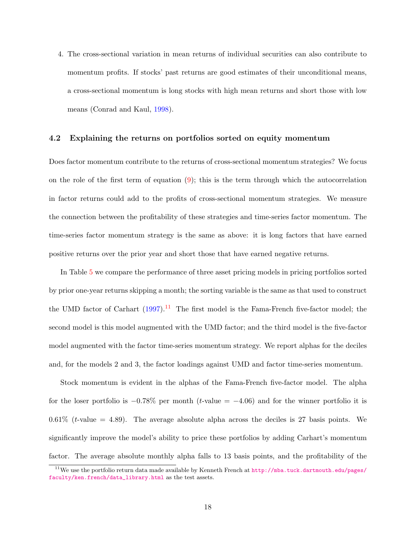4. The cross-sectional variation in mean returns of individual securities can also contribute to momentum profits. If stocks' past returns are good estimates of their unconditional means, a cross-sectional momentum is long stocks with high mean returns and short those with low means (Conrad and Kaul, [1998\)](#page-37-0).

### 4.2 Explaining the returns on portfolios sorted on equity momentum

Does factor momentum contribute to the returns of cross-sectional momentum strategies? We focus on the role of the first term of equation [\(9\)](#page-17-0); this is the term through which the autocorrelation in factor returns could add to the profits of cross-sectional momentum strategies. We measure the connection between the profitability of these strategies and time-series factor momentum. The time-series factor momentum strategy is the same as above: it is long factors that have earned positive returns over the prior year and short those that have earned negative returns.

In Table [5](#page-19-0) we compare the performance of three asset pricing models in pricing portfolios sorted by prior one-year returns skipping a month; the sorting variable is the same as that used to construct the UMD factor of Carhart  $(1997)^{11}$  $(1997)^{11}$  $(1997)^{11}$  $(1997)^{11}$ . The first model is the Fama-French five-factor model; the second model is this model augmented with the UMD factor; and the third model is the five-factor model augmented with the factor time-series momentum strategy. We report alphas for the deciles and, for the models 2 and 3, the factor loadings against UMD and factor time-series momentum.

Stock momentum is evident in the alphas of the Fama-French five-factor model. The alpha for the loser portfolio is  $-0.78\%$  per month (t-value =  $-4.06$ ) and for the winner portfolio it is  $0.61\%$  (*t*-value = 4.89). The average absolute alpha across the deciles is 27 basis points. We significantly improve the model's ability to price these portfolios by adding Carhart's momentum factor. The average absolute monthly alpha falls to 13 basis points, and the profitability of the

<span id="page-18-0"></span><sup>11</sup>We use the portfolio return data made available by Kenneth French at [http://mba.tuck.dartmouth.edu/pages/](http://mba.tuck.dartmouth.edu/pages/faculty/ken.french/data_library.html) [faculty/ken.french/data\\_library.html](http://mba.tuck.dartmouth.edu/pages/faculty/ken.french/data_library.html) as the test assets.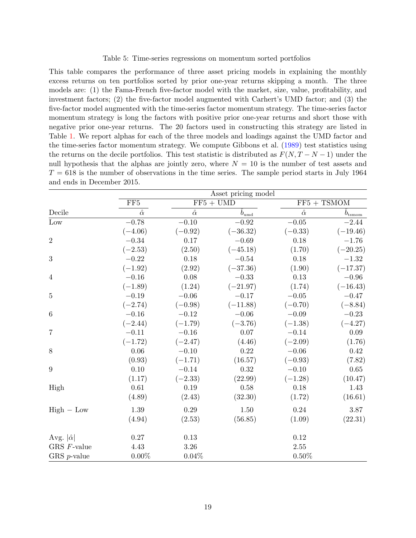#### Table 5: Time-series regressions on momentum sorted portfolios

<span id="page-19-0"></span>This table compares the performance of three asset pricing models in explaining the monthly excess returns on ten portfolios sorted by prior one-year returns skipping a month. The three models are: (1) the Fama-French five-factor model with the market, size, value, profitability, and investment factors; (2) the five-factor model augmented with Carhert's UMD factor; and (3) the five-factor model augmented with the time-series factor momentum strategy. The time-series factor momentum strategy is long the factors with positive prior one-year returns and short those with negative prior one-year returns. The 20 factors used in constructing this strategy are listed in Table [1.](#page-5-0) We report alphas for each of the three models and loadings against the UMD factor and the time-series factor momentum strategy. We compute Gibbons et al. [\(1989\)](#page-38-8) test statistics using the returns on the decile portfolios. This test statistic is distributed as  $F(N, T - N - 1)$  under the null hypothesis that the alphas are jointly zero, where  $N = 10$  is the number of test assets and  $T = 618$  is the number of observations in the time series. The sample period starts in July 1964 and ends in December 2015.

|                       | Asset pricing model       |                                      |                                 |                |                 |
|-----------------------|---------------------------|--------------------------------------|---------------------------------|----------------|-----------------|
|                       | $\overline{\text{FF5}}$   | $\overline{\text{FF5} + \text{UMD}}$ |                                 |                | $FF5 + TSMOM$   |
| Decile                | $\overline{\hat{\alpha}}$ | $\hat{\alpha}$                       | $\hat{b}_{\rm um\underline{d}}$ | $\hat{\alpha}$ | $b_{\rm tsmom}$ |
| Low                   | $-0.78$                   | $-0.10$                              | $-0.92$                         | $-0.05$        | $-2.44$         |
|                       | $(-4.06)$                 | $(-0.92)$                            | $(-36.32)$                      | $(-0.33)$      | $(-19.46)$      |
| $\overline{2}$        | $-0.34$                   | 0.17                                 | $-0.69$                         | 0.18           | $-1.76$         |
|                       | $(-2.53)$                 | (2.50)                               | $(-45.18)$                      | (1.70)         | $(-20.25)$      |
| 3                     | $-0.22$                   | 0.18                                 | $-0.54$                         | 0.18           | $-1.32$         |
|                       | $(-1.92)$                 | (2.92)                               | $(-37.36)$                      | (1.90)         | $(-17.37)$      |
| $\overline{4}$        | $-0.16$                   | 0.08                                 | $-0.33$                         | 0.13           | $-0.96$         |
|                       | $(-1.89)$                 | (1.24)                               | $(-21.97)$                      | (1.74)         | $(-16.43)$      |
| $\overline{5}$        | $-0.19$                   | $-0.06$                              | $-0.17$                         | $-0.05$        | $-0.47$         |
|                       | $(-2.74)$                 | $(-0.98)$                            | $(-11.88)$                      | $(-0.70)$      | $(-8.84)$       |
| 6                     | $-0.16$                   | $-0.12$                              | $-0.06\,$                       | $-0.09$        | $-0.23$         |
|                       | $(-2.44)$                 | $(-1.79)$                            | $(-3.76)$                       | $(-1.38)$      | $(-4.27)$       |
| $\overline{7}$        | $-0.11$                   | $-0.16$                              | 0.07                            | $-0.14$        | $0.09\,$        |
|                       | $(-1.72)$                 | $(-2.47)$                            | (4.46)                          | $(-2.09)$      | (1.76)          |
| $8\,$                 | 0.06                      | $-0.10$                              | 0.22                            | $-0.06$        | 0.42            |
|                       | (0.93)                    | $(-1.71)$                            | (16.57)                         | $(-0.93)$      | (7.82)          |
| 9                     | 0.10                      | $-0.14$                              | 0.32                            | $-0.10$        | 0.65            |
|                       | (1.17)                    | $(-2.33)$                            | (22.99)                         | $(-1.28)$      | (10.47)         |
| High                  | 0.61                      | 0.19                                 | 0.58                            | 0.18           | 1.43            |
|                       | (4.89)                    | (2.43)                               | (32.30)                         | (1.72)         | (16.61)         |
| $High-Low$            | 1.39                      | 0.29                                 | 1.50                            | 0.24           | 3.87            |
|                       | (4.94)                    | (2.53)                               | (56.85)                         | (1.09)         | (22.31)         |
| Avg. $ \hat{\alpha} $ | $0.27\,$                  | 0.13                                 |                                 | 0.12           |                 |
| GRS F-value           | $4.43\,$                  | 3.26                                 |                                 | $2.55\,$       |                 |
| GRS $p$ -value        | $0.00\%$                  | 0.04%                                |                                 | $0.50\%$       |                 |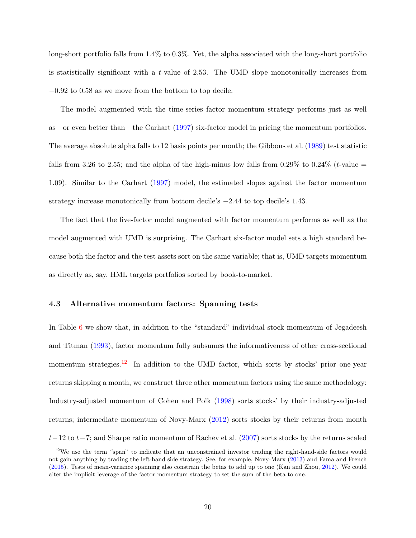long-short portfolio falls from 1.4% to 0.3%. Yet, the alpha associated with the long-short portfolio is statistically significant with a t-value of 2.53. The UMD slope monotonically increases from −0.92 to 0.58 as we move from the bottom to top decile.

The model augmented with the time-series factor momentum strategy performs just as well as—or even better than—the Carhart [\(1997\)](#page-37-5) six-factor model in pricing the momentum portfolios. The average absolute alpha falls to 12 basis points per month; the Gibbons et al. [\(1989\)](#page-38-8) test statistic falls from 3.26 to 2.55; and the alpha of the high-minus low falls from 0.29% to 0.24% (*t*-value = 1.09). Similar to the Carhart [\(1997\)](#page-37-5) model, the estimated slopes against the factor momentum strategy increase monotonically from bottom decile's −2.44 to top decile's 1.43.

The fact that the five-factor model augmented with factor momentum performs as well as the model augmented with UMD is surprising. The Carhart six-factor model sets a high standard because both the factor and the test assets sort on the same variable; that is, UMD targets momentum as directly as, say, HML targets portfolios sorted by book-to-market.

### 4.3 Alternative momentum factors: Spanning tests

In Table [6](#page-22-0) we show that, in addition to the "standard" individual stock momentum of Jegadeesh and Titman [\(1993\)](#page-39-3), factor momentum fully subsumes the informativeness of other cross-sectional momentum strategies.<sup>[12](#page-20-0)</sup> In addition to the UMD factor, which sorts by stocks' prior one-year returns skipping a month, we construct three other momentum factors using the same methodology: Industry-adjusted momentum of Cohen and Polk [\(1998\)](#page-37-10) sorts stocks' by their industry-adjusted returns; intermediate momentum of Novy-Marx [\(2012\)](#page-41-10) sorts stocks by their returns from month  $t-12$  to  $t-7$ ; and Sharpe ratio momentum of Rachev et al. [\(2007\)](#page-41-11) sorts stocks by the returns scaled

<span id="page-20-0"></span><sup>&</sup>lt;sup>12</sup>We use the term "span" to indicate that an unconstrained investor trading the right-hand-side factors would not gain anything by trading the left-hand side strategy. See, for example, Novy-Marx [\(2013\)](#page-41-5) and Fama and French [\(2015\)](#page-38-5). Tests of mean-variance spanning also constrain the betas to add up to one (Kan and Zhou, [2012\)](#page-39-10). We could alter the implicit leverage of the factor momentum strategy to set the sum of the beta to one.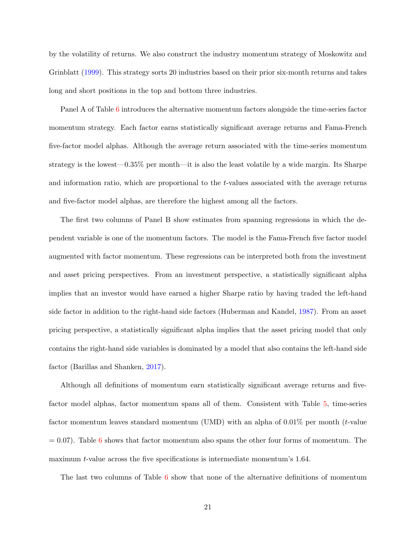by the volatility of returns. We also construct the industry momentum strategy of Moskowitz and Grinblatt [\(1999\)](#page-40-8). This strategy sorts 20 industries based on their prior six-month returns and takes long and short positions in the top and bottom three industries.

Panel A of Table [6](#page-22-0) introduces the alternative momentum factors alongside the time-series factor momentum strategy. Each factor earns statistically significant average returns and Fama-French five-factor model alphas. Although the average return associated with the time-series momentum strategy is the lowest—0.35% per month—it is also the least volatile by a wide margin. Its Sharpe and information ratio, which are proportional to the t-values associated with the average returns and five-factor model alphas, are therefore the highest among all the factors.

The first two columns of Panel B show estimates from spanning regressions in which the dependent variable is one of the momentum factors. The model is the Fama-French five factor model augmented with factor momentum. These regressions can be interpreted both from the investment and asset pricing perspectives. From an investment perspective, a statistically significant alpha implies that an investor would have earned a higher Sharpe ratio by having traded the left-hand side factor in addition to the right-hand side factors (Huberman and Kandel, [1987\)](#page-39-11). From an asset pricing perspective, a statistically significant alpha implies that the asset pricing model that only contains the right-hand side variables is dominated by a model that also contains the left-hand side factor (Barillas and Shanken, [2017\)](#page-36-9).

Although all definitions of momentum earn statistically significant average returns and fivefactor model alphas, factor momentum spans all of them. Consistent with Table [5,](#page-19-0) time-series factor momentum leaves standard momentum (UMD) with an alpha of  $0.01\%$  per month (*t*-value  $= 0.07$ . Table [6](#page-22-0) shows that factor momentum also spans the other four forms of momentum. The maximum t-value across the five specifications is intermediate momentum's 1.64.

The last two columns of Table [6](#page-22-0) show that none of the alternative definitions of momentum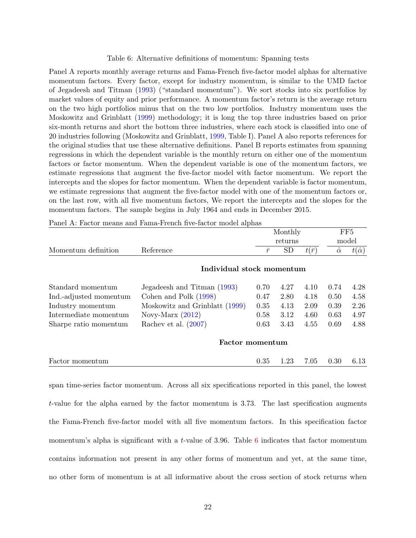#### Table 6: Alternative definitions of momentum: Spanning tests

<span id="page-22-0"></span>Panel A reports monthly average returns and Fama-French five-factor model alphas for alternative momentum factors. Every factor, except for industry momentum, is similar to the UMD factor of Jegadeesh and Titman [\(1993\)](#page-39-3) ("standard momentum"). We sort stocks into six portfolios by market values of equity and prior performance. A momentum factor's return is the average return on the two high portfolios minus that on the two low portfolios. Industry momentum uses the Moskowitz and Grinblatt [\(1999\)](#page-40-8) methodology; it is long the top three industries based on prior six-month returns and short the bottom three industries, where each stock is classified into one of 20 industries following (Moskowitz and Grinblatt, [1999,](#page-40-8) Table I). Panel A also reports references for the original studies that use these alternative definitions. Panel B reports estimates from spanning regressions in which the dependent variable is the monthly return on either one of the momentum factors or factor momentum. When the dependent variable is one of the momentum factors, we estimate regressions that augment the five-factor model with factor momentum. We report the intercepts and the slopes for factor momentum. When the dependent variable is factor momentum, we estimate regressions that augment the five-factor model with one of the momentum factors or, on the last row, with all five momentum factors, We report the intercepts and the slopes for the momentum factors. The sample begins in July 1964 and ends in December 2015.

|                        | Monthly                        |           |           |              | FF <sub>5</sub> |                   |  |
|------------------------|--------------------------------|-----------|-----------|--------------|-----------------|-------------------|--|
|                        |                                | returns   |           |              | model           |                   |  |
| Momentum definition    | Reference                      | $\bar{r}$ | <b>SD</b> | $t(\bar{r})$ | $\hat{\alpha}$  | $t(\hat{\alpha})$ |  |
|                        | Individual stock momentum      |           |           |              |                 |                   |  |
| Standard momentum      | Jegadeesh and Titman (1993)    | 0.70      | 4.27      | 4.10         | 0.74            | 4.28              |  |
| Ind.-adjusted momentum | Cohen and Polk (1998)          | 0.47      | 2.80      | 4.18         | 0.50            | 4.58              |  |
| Industry momentum      | Moskowitz and Grinblatt (1999) | 0.35      | 4.13      | 2.09         | 0.39            | 2.26              |  |
| Intermediate momentum  | Novy-Marx $(2012)$             | 0.58      | 3.12      | 4.60         | 0.63            | 4.97              |  |
| Sharpe ratio momentum  | Rachev et al. $(2007)$         | 0.63      | 3.43      | 4.55         | 0.69            | 4.88              |  |
|                        | <b>Factor momentum</b>         |           |           |              |                 |                   |  |
| Factor momentum        |                                | 0.35      | 1.23      | 7.05         | 0.30            | 6.13              |  |

Panel A: Factor means and Fama-French five-factor model alphas

span time-series factor momentum. Across all six specifications reported in this panel, the lowest t-value for the alpha earned by the factor momentum is 3.73. The last specification augments the Fama-French five-factor model with all five momentum factors. In this specification factor momentum's alpha is significant with a t-value of 3.9[6](#page-22-0). Table  $6$  indicates that factor momentum contains information not present in any other forms of momentum and yet, at the same time, no other form of momentum is at all informative about the cross section of stock returns when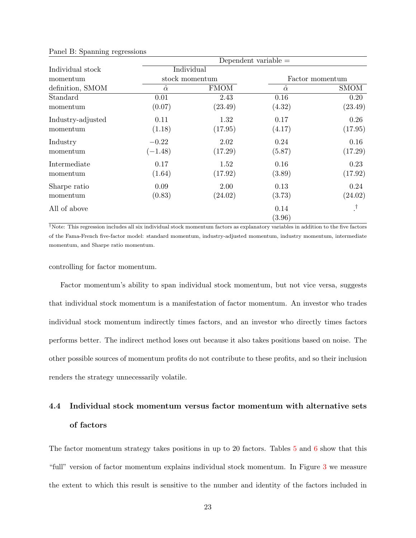|                   | Dependent variable $=$ |                |                |                 |  |  |  |  |
|-------------------|------------------------|----------------|----------------|-----------------|--|--|--|--|
| Individual stock  |                        | Individual     |                |                 |  |  |  |  |
| momentum          |                        | stock momentum |                | Factor momentum |  |  |  |  |
| definition, SMOM  | $\hat{\alpha}$         | <b>FMOM</b>    | $\hat{\alpha}$ | <b>SMOM</b>     |  |  |  |  |
| Standard          | 0.01                   | 2.43           | 0.16           | 0.20            |  |  |  |  |
| momentum          | (0.07)                 | (23.49)        | (4.32)         | (23.49)         |  |  |  |  |
| Industry-adjusted | 0.11                   | 1.32           | 0.17           | 0.26            |  |  |  |  |
| momentum          | (1.18)                 | (17.95)        | (4.17)         | (17.95)         |  |  |  |  |
| Industry          | $-0.22$                | 2.02           | 0.24           | 0.16            |  |  |  |  |
| momentum          | $(-1.48)$              | (17.29)        | (5.87)         | (17.29)         |  |  |  |  |
| Intermediate      | 0.17                   | 1.52           | 0.16           | 0.23            |  |  |  |  |
| momentum          | (1.64)                 | (17.92)        | (3.89)         | (17.92)         |  |  |  |  |
| Sharpe ratio      | 0.09                   | 2.00           | 0.13           | 0.24            |  |  |  |  |
| momentum          | (0.83)                 | (24.02)        | (3.73)         | (24.02)         |  |  |  |  |
| All of above      |                        |                | 0.14           |                 |  |  |  |  |
|                   |                        |                | (3.96)         |                 |  |  |  |  |

Panel B: Spanning regressions

†Note: This regression includes all six individual stock momentum factors as explanatory variables in addition to the five factors of the Fama-French five-factor model: standard momentum, industry-adjusted momentum, industry momentum, intermediate momentum, and Sharpe ratio momentum.

controlling for factor momentum.

Factor momentum's ability to span individual stock momentum, but not vice versa, suggests that individual stock momentum is a manifestation of factor momentum. An investor who trades individual stock momentum indirectly times factors, and an investor who directly times factors performs better. The indirect method loses out because it also takes positions based on noise. The other possible sources of momentum profits do not contribute to these profits, and so their inclusion renders the strategy unnecessarily volatile.

# 4.4 Individual stock momentum versus factor momentum with alternative sets of factors

The factor momentum strategy takes positions in up to 20 factors. Tables [5](#page-19-0) and [6](#page-22-0) show that this "full" version of factor momentum explains individual stock momentum. In Figure [3](#page-24-0) we measure the extent to which this result is sensitive to the number and identity of the factors included in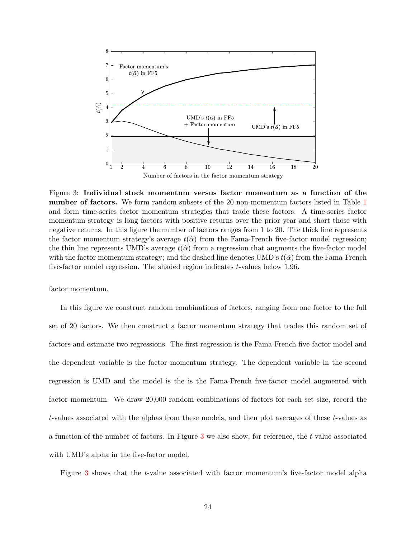<span id="page-24-0"></span>

Figure 3: Individual stock momentum versus factor momentum as a function of the number of factors. We form random subsets of the 20 non-momentum factors listed in Table [1](#page-5-0) and form time-series factor momentum strategies that trade these factors. A time-series factor momentum strategy is long factors with positive returns over the prior year and short those with negative returns. In this figure the number of factors ranges from 1 to 20. The thick line represents the factor momentum strategy's average  $t(\hat{\alpha})$  from the Fama-French five-factor model regression; the thin line represents UMD's average  $t(\hat{\alpha})$  from a regression that augments the five-factor model with the factor momentum strategy; and the dashed line denotes UMD's  $t(\hat{\alpha})$  from the Fama-French five-factor model regression. The shaded region indicates t-values below 1.96.

factor momentum.

In this figure we construct random combinations of factors, ranging from one factor to the full set of 20 factors. We then construct a factor momentum strategy that trades this random set of factors and estimate two regressions. The first regression is the Fama-French five-factor model and the dependent variable is the factor momentum strategy. The dependent variable in the second regression is UMD and the model is the is the Fama-French five-factor model augmented with factor momentum. We draw 20,000 random combinations of factors for each set size, record the t-values associated with the alphas from these models, and then plot averages of these t-values as a function of the number of factors. In Figure [3](#page-24-0) we also show, for reference, the t-value associated with UMD's alpha in the five-factor model.

Figure [3](#page-24-0) shows that the t-value associated with factor momentum's five-factor model alpha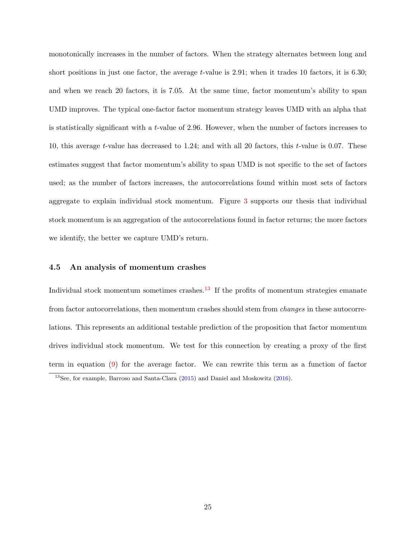monotonically increases in the number of factors. When the strategy alternates between long and short positions in just one factor, the average  $t$ -value is 2.91; when it trades 10 factors, it is 6.30; and when we reach 20 factors, it is 7.05. At the same time, factor momentum's ability to span UMD improves. The typical one-factor factor momentum strategy leaves UMD with an alpha that is statistically significant with a t-value of 2.96. However, when the number of factors increases to 10, this average t-value has decreased to 1.24; and with all 20 factors, this t-value is 0.07. These estimates suggest that factor momentum's ability to span UMD is not specific to the set of factors used; as the number of factors increases, the autocorrelations found within most sets of factors aggregate to explain individual stock momentum. Figure [3](#page-24-0) supports our thesis that individual stock momentum is an aggregation of the autocorrelations found in factor returns; the more factors we identify, the better we capture UMD's return.

#### 4.5 An analysis of momentum crashes

Individual stock momentum sometimes crashes. $^{13}$  $^{13}$  $^{13}$  If the profits of momentum strategies emanate from factor autocorrelations, then momentum crashes should stem from changes in these autocorrelations. This represents an additional testable prediction of the proposition that factor momentum drives individual stock momentum. We test for this connection by creating a proxy of the first term in equation [\(9\)](#page-17-0) for the average factor. We can rewrite this term as a function of factor

<span id="page-25-0"></span><sup>13</sup>See, for example, Barroso and Santa-Clara [\(2015\)](#page-37-11) and Daniel and Moskowitz [\(2016\)](#page-38-9).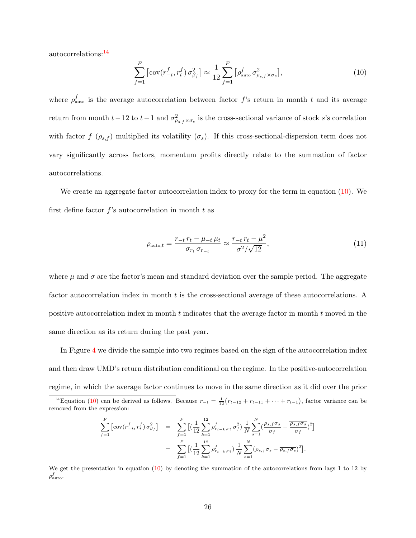autocorrelations:[14](#page-26-0)

<span id="page-26-1"></span>
$$
\sum_{f=1}^{F} \left[ \operatorname{cov}(r_{-t}^f, r_t^f) \sigma_{\beta_f}^2 \right] \approx \frac{1}{12} \sum_{f=1}^{F} \left[ \rho_{\text{auto}}^f \sigma_{\rho_{s,f} \times \sigma_s}^2 \right],\tag{10}
$$

where  $\rho_{\text{auto}}^f$  is the average autocorrelation between factor f's return in month t and its average return from month  $t-12$  to  $t-1$  and  $\sigma_{\rho_{s,f}\times\sigma_s}^2$  is the cross-sectional variance of stock s's correlation with factor f  $(\rho_{s,f})$  multiplied its volatility  $(\sigma_s)$ . If this cross-sectional-dispersion term does not vary significantly across factors, momentum profits directly relate to the summation of factor autocorrelations.

We create an aggregate factor autocorrelation index to proxy for the term in equation [\(10\)](#page-26-1). We first define factor  $f$ 's autocorrelation in month  $t$  as

<span id="page-26-2"></span>
$$
\rho_{\text{auto},t} = \frac{r_{-t}r_t - \mu_{-t}\mu_t}{\sigma_{r_t}\sigma_{r_{-t}}} \approx \frac{r_{-t}r_t - \mu^2}{\sigma^2/\sqrt{12}},\tag{11}
$$

where  $\mu$  and  $\sigma$  are the factor's mean and standard deviation over the sample period. The aggregate factor autocorrelation index in month t is the cross-sectional average of these autocorrelations. A positive autocorrelation index in month  $t$  indicates that the average factor in month  $t$  moved in the same direction as its return during the past year.

In Figure [4](#page-27-0) we divide the sample into two regimes based on the sign of the autocorrelation index and then draw UMD's return distribution conditional on the regime. In the positive-autocorrelation regime, in which the average factor continues to move in the same direction as it did over the prior

$$
\sum_{f=1}^{F} \left[ \text{cov}(r_{-t}^{f}, r_{t}^{f}) \sigma_{\beta_{f}}^{2} \right] = \sum_{f=1}^{F} \left[ \left( \frac{1}{12} \sum_{k=1}^{12} \rho_{r_{t-k}, r_{t}}^{f} \sigma_{f}^{2} \right) \frac{1}{N} \sum_{s=1}^{N} \left( \frac{\rho_{s,f} \sigma_{s}}{\sigma_{f}} - \frac{\overline{\rho_{s,f} \sigma_{s}}}{\sigma_{f}} \right)^{2} \right]
$$

$$
= \sum_{f=1}^{F} \left[ \left( \frac{1}{12} \sum_{k=1}^{12} \rho_{r_{t-k}, r_{t}}^{f} \right) \frac{1}{N} \sum_{s=1}^{N} (\rho_{s,f} \sigma_{s} - \overline{\rho_{s,f} \sigma_{s}})^{2} \right].
$$

We get the presentation in equation [\(10\)](#page-26-1) by denoting the summation of the autocorrelations from lags 1 to 12 by  $\rho_{\rm auto}^{f}.$ 

<span id="page-26-0"></span><sup>&</sup>lt;sup>14</sup>Equation [\(10\)](#page-26-1) can be derived as follows. Because  $r_{-t} = \frac{1}{12}(r_{t-12} + r_{t-11} + \cdots + r_{t-1}),$  factor variance can be removed from the expression: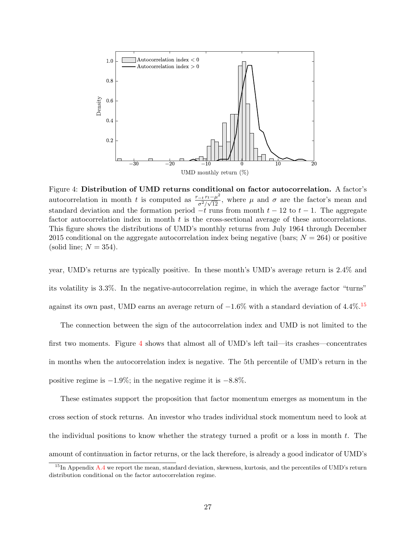<span id="page-27-0"></span>

Figure 4: Distribution of UMD returns conditional on factor autocorrelation. A factor's autocorrelation in month t is computed as  $\frac{r_{-t}r_t-\mu^2}{2l\sqrt{12}}$  $\frac{-i \tau t - \mu}{\sigma^2/\sqrt{12}}$ , where  $\mu$  and  $\sigma$  are the factor's mean and standard deviation and the formation period  $-t$  runs from month  $t - 12$  to  $t - 1$ . The aggregate factor autocorrelation index in month  $t$  is the cross-sectional average of these autocorrelations. This figure shows the distributions of UMD's monthly returns from July 1964 through December 2015 conditional on the aggregate autocorrelation index being negative (bars;  $N = 264$ ) or positive (solid line;  $N = 354$ ).

year, UMD's returns are typically positive. In these month's UMD's average return is 2.4% and its volatility is 3.3%. In the negative-autocorrelation regime, in which the average factor "turns" against its own past, UMD earns an average return of  $-1.6\%$  with a standard deviation of 4.4%.<sup>[15](#page-27-1)</sup>

The connection between the sign of the autocorrelation index and UMD is not limited to the first two moments. Figure [4](#page-27-0) shows that almost all of UMD's left tail—its crashes—concentrates in months when the autocorrelation index is negative. The 5th percentile of UMD's return in the positive regime is  $-1.9\%$ ; in the negative regime it is  $-8.8\%$ .

These estimates support the proposition that factor momentum emerges as momentum in the cross section of stock returns. An investor who trades individual stock momentum need to look at the individual positions to know whether the strategy turned a profit or a loss in month t. The amount of continuation in factor returns, or the lack therefore, is already a good indicator of UMD's

<span id="page-27-1"></span> $15$ In Appendix [A.4](#page-48-0) we report the mean, standard deviation, skewness, kurtosis, and the percentiles of UMD's return distribution conditional on the factor autocorrelation regime.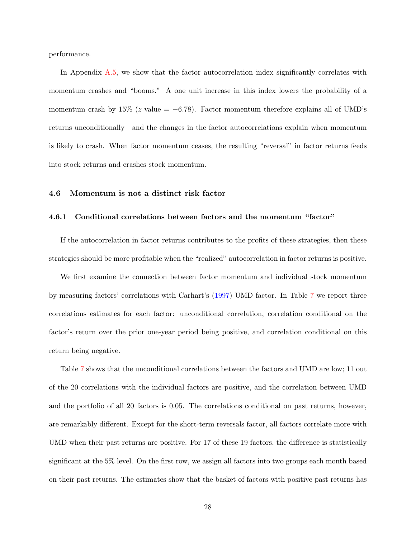performance.

In Appendix [A.5,](#page-48-1) we show that the factor autocorrelation index significantly correlates with momentum crashes and "booms." A one unit increase in this index lowers the probability of a momentum crash by 15% (z-value =  $-6.78$ ). Factor momentum therefore explains all of UMD's returns unconditionally—and the changes in the factor autocorrelations explain when momentum is likely to crash. When factor momentum ceases, the resulting "reversal" in factor returns feeds into stock returns and crashes stock momentum.

#### 4.6 Momentum is not a distinct risk factor

### 4.6.1 Conditional correlations between factors and the momentum "factor"

If the autocorrelation in factor returns contributes to the profits of these strategies, then these strategies should be more profitable when the "realized" autocorrelation in factor returns is positive.

We first examine the connection between factor momentum and individual stock momentum by measuring factors' correlations with Carhart's (1997) UMD factor. In Table [7](#page-29-0) we report three correlations estimates for each factor: unconditional correlation, correlation conditional on the factor's return over the prior one-year period being positive, and correlation conditional on this return being negative.

Table [7](#page-29-0) shows that the unconditional correlations between the factors and UMD are low; 11 out of the 20 correlations with the individual factors are positive, and the correlation between UMD and the portfolio of all 20 factors is 0.05. The correlations conditional on past returns, however, are remarkably different. Except for the short-term reversals factor, all factors correlate more with UMD when their past returns are positive. For 17 of these 19 factors, the difference is statistically significant at the 5% level. On the first row, we assign all factors into two groups each month based on their past returns. The estimates show that the basket of factors with positive past returns has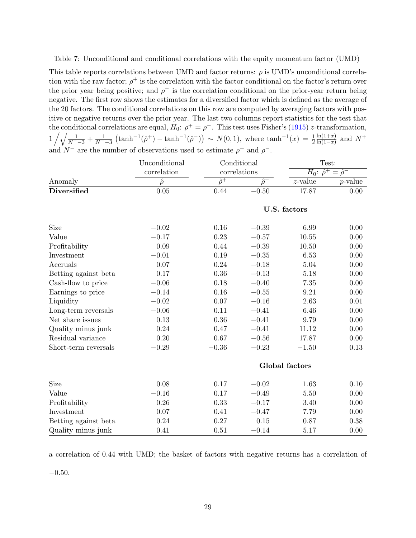<span id="page-29-0"></span>Table 7: Unconditional and conditional correlations with the equity momentum factor (UMD)

This table reports correlations between UMD and factor returns:  $\rho$  is UMD's unconditional correlation with the raw factor;  $\rho^+$  is the correlation with the factor conditional on the factor's return over the prior year being positive; and  $\rho^-$  is the correlation conditional on the prior-year return being negative. The first row shows the estimates for a diversified factor which is defined as the average of the 20 factors. The conditional correlations on this row are computed by averaging factors with positive or negative returns over the prior year. The last two columns report statistics for the test that the conditional correlations are equal,  $H_0: \rho^+ = \rho^-$ . This test uses Fisher's (1915) z-transformation,  $1/\sqrt{\frac{1}{N^+-3}+\frac{1}{N^--3}}\left(\tanh^{-1}(\hat{\rho}^+)-\tanh^{-1}(\hat{\rho}^-)\right) \sim N(0,1)$ , where  $\tanh^{-1}(x) = \frac{1}{2}$  $ln(1+x)$  $\frac{\ln(1+x)}{\ln(1-x)}$  and  $N^+$ and  $N^-$  are the number of observations used to estimate  $\rho^+$  and  $\rho^-$ .

|                      | Unconditional<br>Conditional |                           |                | Test:          |                                    |
|----------------------|------------------------------|---------------------------|----------------|----------------|------------------------------------|
|                      | correlation                  |                           | correlations   |                | $H_0: \hat{\rho}^+ = \hat{\rho}^-$ |
| Anomaly              | $\hat{\rho}$                 | $\overline{\hat{\rho}^+}$ | $\hat{\rho}^-$ | $z$ -value     | $p$ -value                         |
| <b>Diversified</b>   | $\overline{0.05}$            | 0.44                      | $-0.50$        | 17.87          | $0.00^{-}$                         |
|                      |                              |                           |                | U.S. factors   |                                    |
| <b>Size</b>          | $-0.02$                      | 0.16                      | $-0.39$        | 6.99           | 0.00                               |
| Value                | $-0.17$                      | 0.23                      | $-0.57$        | 10.55          | 0.00                               |
| Profitability        | 0.09                         | 0.44                      | $-0.39$        | 10.50          | 0.00                               |
| Investment           | $-0.01$                      | 0.19                      | $-0.35$        | 6.53           | 0.00                               |
| Accruals             | 0.07                         | 0.24                      | $-0.18$        | 5.04           | 0.00                               |
| Betting against beta | 0.17                         | 0.36                      | $-0.13$        | 5.18           | 0.00                               |
| Cash-flow to price   | $-0.06$                      | 0.18                      | $-0.40$        | 7.35           | 0.00                               |
| Earnings to price    | $-0.14$                      | 0.16                      | $-0.55$        | 9.21           | 0.00                               |
| Liquidity            | $-0.02$                      | 0.07                      | $-0.16$        | 2.63           | 0.01                               |
| Long-term reversals  | $-0.06$                      | 0.11                      | $-0.41$        | 6.46           | 0.00                               |
| Net share issues     | 0.13                         | $0.36\,$                  | $-0.41$        | 9.79           | 0.00                               |
| Quality minus junk   | 0.24                         | 0.47                      | $-0.41$        | 11.12          | 0.00                               |
| Residual variance    | 0.20                         | 0.67                      | $-0.56$        | 17.87          | 0.00                               |
| Short-term reversals | $-0.29$                      | $-0.36$                   | $-0.23$        | $-1.50$        | 0.13                               |
|                      |                              |                           |                | Global factors |                                    |
| Size                 | 0.08                         | 0.17                      | $-0.02$        | 1.63           | 0.10                               |
| Value                | $-0.16$                      | 0.17                      | $-0.49$        | 5.50           | 0.00                               |
| Profitability        | 0.26                         | 0.33                      | $-0.17$        | 3.40           | 0.00                               |
| Investment           | 0.07                         | 0.41                      | $-0.47$        | 7.79           | 0.00                               |
| Betting against beta | 0.24                         | 0.27                      | 0.15           | 0.87           | 0.38                               |
| Quality minus junk   | 0.41                         | 0.51                      | $-0.14$        | 5.17           | 0.00                               |

a correlation of 0.44 with UMD; the basket of factors with negative returns has a correlation of

−0.50.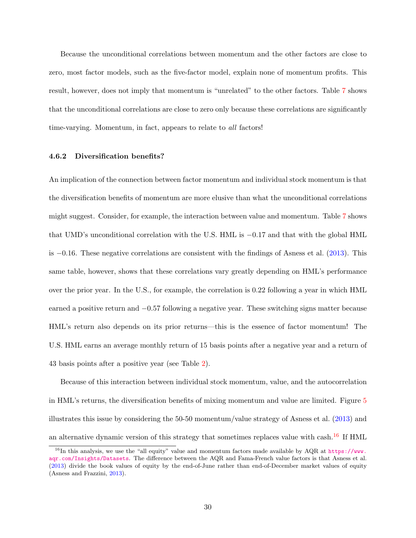Because the unconditional correlations between momentum and the other factors are close to zero, most factor models, such as the five-factor model, explain none of momentum profits. This result, however, does not imply that momentum is "unrelated" to the other factors. Table [7](#page-29-0) shows that the unconditional correlations are close to zero only because these correlations are significantly time-varying. Momentum, in fact, appears to relate to all factors!

### 4.6.2 Diversification benefits?

An implication of the connection between factor momentum and individual stock momentum is that the diversification benefits of momentum are more elusive than what the unconditional correlations might suggest. Consider, for example, the interaction between value and momentum. Table [7](#page-29-0) shows that UMD's unconditional correlation with the U.S. HML is −0.17 and that with the global HML is −0.16. These negative correlations are consistent with the findings of Asness et al. [\(2013\)](#page-36-0). This same table, however, shows that these correlations vary greatly depending on HML's performance over the prior year. In the U.S., for example, the correlation is 0.22 following a year in which HML earned a positive return and −0.57 following a negative year. These switching signs matter because HML's return also depends on its prior returns—this is the essence of factor momentum! The U.S. HML earns an average monthly return of 15 basis points after a negative year and a return of 43 basis points after a positive year (see Table [2\)](#page-8-0).

Because of this interaction between individual stock momentum, value, and the autocorrelation in HML's returns, the diversification benefits of mixing momentum and value are limited. Figure [5](#page-31-0) illustrates this issue by considering the 50-50 momentum/value strategy of Asness et al. [\(2013\)](#page-36-0) and an alternative dynamic version of this strategy that sometimes replaces value with cash.<sup>[16](#page-30-0)</sup> If HML

<span id="page-30-0"></span><sup>&</sup>lt;sup>16</sup>In this analysis, we use the "all equity" value and momentum factors made available by AQR at [https://www.](https://www.aqr.com/Insights/Datasets) [aqr.com/Insights/Datasets](https://www.aqr.com/Insights/Datasets). The difference between the AQR and Fama-French value factors is that Asness et al. [\(2013\)](#page-36-0) divide the book values of equity by the end-of-June rather than end-of-December market values of equity (Asness and Frazzini, [2013\)](#page-36-10).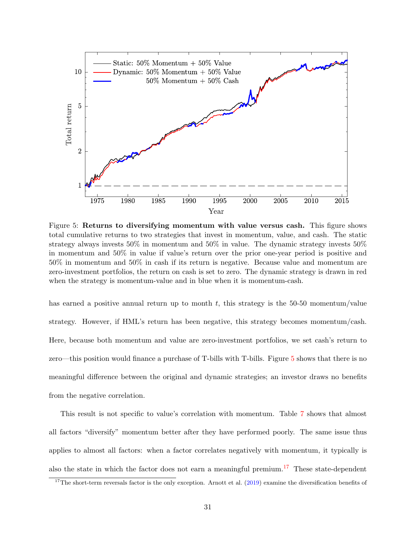

<span id="page-31-0"></span>Figure 5: Returns to diversifying momentum with value versus cash. This figure shows total cumulative returns to two strategies that invest in momentum, value, and cash. The static strategy always invests 50% in momentum and 50% in value. The dynamic strategy invests 50% in momentum and 50% in value if value's return over the prior one-year period is positive and 50% in momentum and 50% in cash if its return is negative. Because value and momentum are zero-investment portfolios, the return on cash is set to zero. The dynamic strategy is drawn in red when the strategy is momentum-value and in blue when it is momentum-cash.

has earned a positive annual return up to month  $t$ , this strategy is the 50-50 momentum/value strategy. However, if HML's return has been negative, this strategy becomes momentum/cash. Here, because both momentum and value are zero-investment portfolios, we set cash's return to zero—this position would finance a purchase of T-bills with T-bills. Figure [5](#page-31-0) shows that there is no meaningful difference between the original and dynamic strategies; an investor draws no benefits from the negative correlation.

This result is not specific to value's correlation with momentum. Table [7](#page-29-0) shows that almost all factors "diversify" momentum better after they have performed poorly. The same issue thus applies to almost all factors: when a factor correlates negatively with momentum, it typically is also the state in which the factor does not earn a meaningful premium.<sup>[17](#page-31-1)</sup> These state-dependent

<span id="page-31-1"></span><sup>&</sup>lt;sup>17</sup>The short-term reversals factor is the only exception. Arnott et al.  $(2019)$  examine the diversification benefits of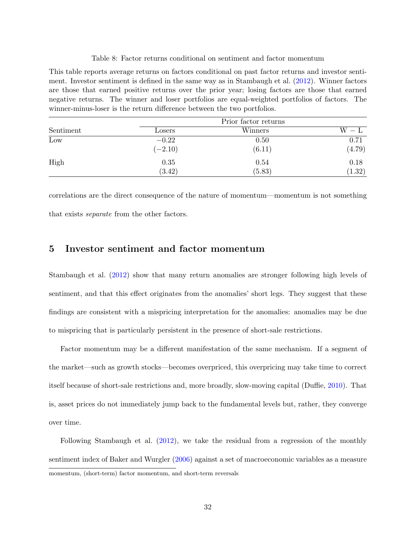#### Table 8: Factor returns conditional on sentiment and factor momentum

<span id="page-32-0"></span>This table reports average returns on factors conditional on past factor returns and investor sentiment. Investor sentiment is defined in the same way as in Stambaugh et al. [\(2012\)](#page-41-3). Winner factors are those that earned positive returns over the prior year; losing factors are those that earned negative returns. The winner and loser portfolios are equal-weighted portfolios of factors. The winner-minus-loser is the return difference between the two portfolios.

|           |           | Prior factor returns |                         |  |  |  |
|-----------|-----------|----------------------|-------------------------|--|--|--|
| Sentiment | Losers    | Winners              | $\mathrm{W}-\mathrm{L}$ |  |  |  |
| Low       | $-0.22$   | 0.50                 | 0.71                    |  |  |  |
|           | $(-2.10)$ | (6.11)               | (4.79)                  |  |  |  |
| High      | 0.35      | 0.54                 | 0.18                    |  |  |  |
|           | (3.42)    | (5.83)               | (1.32)                  |  |  |  |

correlations are the direct consequence of the nature of momentum—momentum is not something that exists separate from the other factors.

## 5 Investor sentiment and factor momentum

Stambaugh et al. [\(2012\)](#page-41-3) show that many return anomalies are stronger following high levels of sentiment, and that this effect originates from the anomalies' short legs. They suggest that these findings are consistent with a mispricing interpretation for the anomalies: anomalies may be due to mispricing that is particularly persistent in the presence of short-sale restrictions.

Factor momentum may be a different manifestation of the same mechanism. If a segment of the market—such as growth stocks—becomes overpriced, this overpricing may take time to correct itself because of short-sale restrictions and, more broadly, slow-moving capital (Duffie, [2010\)](#page-38-6). That is, asset prices do not immediately jump back to the fundamental levels but, rather, they converge over time.

Following Stambaugh et al. [\(2012\)](#page-41-3), we take the residual from a regression of the monthly sentiment index of Baker and Wurgler [\(2006\)](#page-36-3) against a set of macroeconomic variables as a measure momentum, (short-term) factor momentum, and short-term reversals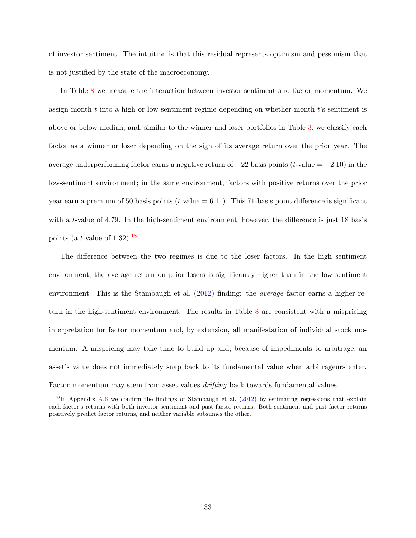of investor sentiment. The intuition is that this residual represents optimism and pessimism that is not justified by the state of the macroeconomy.

In Table [8](#page-32-0) we measure the interaction between investor sentiment and factor momentum. We assign month  $t$  into a high or low sentiment regime depending on whether month  $t$ 's sentiment is above or below median; and, similar to the winner and loser portfolios in Table [3,](#page-9-0) we classify each factor as a winner or loser depending on the sign of its average return over the prior year. The average underperforming factor earns a negative return of  $-22$  basis points (t-value =  $-2.10$ ) in the low-sentiment environment; in the same environment, factors with positive returns over the prior year earn a premium of 50 basis points ( $t$ -value = 6.11). This 71-basis point difference is significant with a t-value of 4.79. In the high-sentiment environment, however, the difference is just 18 basis points (a t-value of  $1.32$ ).<sup>[18](#page-33-0)</sup>

The difference between the two regimes is due to the loser factors. In the high sentiment environment, the average return on prior losers is significantly higher than in the low sentiment environment. This is the Stambaugh et al. [\(2012\)](#page-41-3) finding: the *average* factor earns a higher return in the high-sentiment environment. The results in Table [8](#page-32-0) are consistent with a mispricing interpretation for factor momentum and, by extension, all manifestation of individual stock momentum. A mispricing may take time to build up and, because of impediments to arbitrage, an asset's value does not immediately snap back to its fundamental value when arbitrageurs enter. Factor momentum may stem from asset values *drifting* back towards fundamental values.

<span id="page-33-0"></span> $18$ In Appendix [A.6](#page-51-0) we confirm the findings of Stambaugh et al. [\(2012\)](#page-41-3) by estimating regressions that explain each factor's returns with both investor sentiment and past factor returns. Both sentiment and past factor returns positively predict factor returns, and neither variable subsumes the other.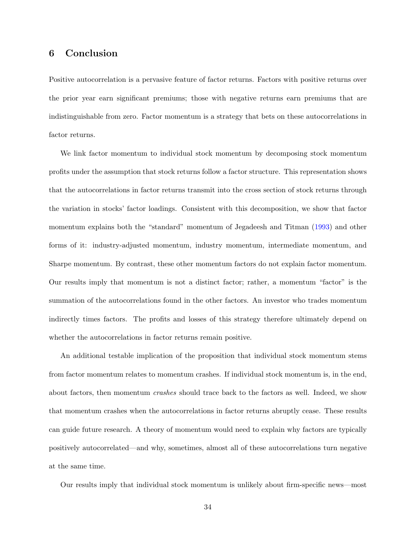## 6 Conclusion

Positive autocorrelation is a pervasive feature of factor returns. Factors with positive returns over the prior year earn significant premiums; those with negative returns earn premiums that are indistinguishable from zero. Factor momentum is a strategy that bets on these autocorrelations in factor returns.

We link factor momentum to individual stock momentum by decomposing stock momentum profits under the assumption that stock returns follow a factor structure. This representation shows that the autocorrelations in factor returns transmit into the cross section of stock returns through the variation in stocks' factor loadings. Consistent with this decomposition, we show that factor momentum explains both the "standard" momentum of Jegadeesh and Titman [\(1993\)](#page-39-3) and other forms of it: industry-adjusted momentum, industry momentum, intermediate momentum, and Sharpe momentum. By contrast, these other momentum factors do not explain factor momentum. Our results imply that momentum is not a distinct factor; rather, a momentum "factor" is the summation of the autocorrelations found in the other factors. An investor who trades momentum indirectly times factors. The profits and losses of this strategy therefore ultimately depend on whether the autocorrelations in factor returns remain positive.

An additional testable implication of the proposition that individual stock momentum stems from factor momentum relates to momentum crashes. If individual stock momentum is, in the end, about factors, then momentum crashes should trace back to the factors as well. Indeed, we show that momentum crashes when the autocorrelations in factor returns abruptly cease. These results can guide future research. A theory of momentum would need to explain why factors are typically positively autocorrelated—and why, sometimes, almost all of these autocorrelations turn negative at the same time.

Our results imply that individual stock momentum is unlikely about firm-specific news—most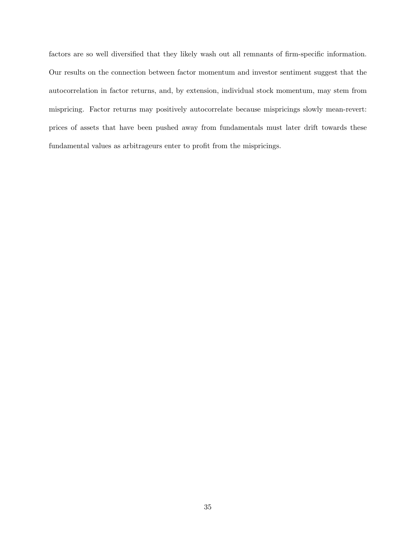factors are so well diversified that they likely wash out all remnants of firm-specific information. Our results on the connection between factor momentum and investor sentiment suggest that the autocorrelation in factor returns, and, by extension, individual stock momentum, may stem from mispricing. Factor returns may positively autocorrelate because mispricings slowly mean-revert: prices of assets that have been pushed away from fundamentals must later drift towards these fundamental values as arbitrageurs enter to profit from the mispricings.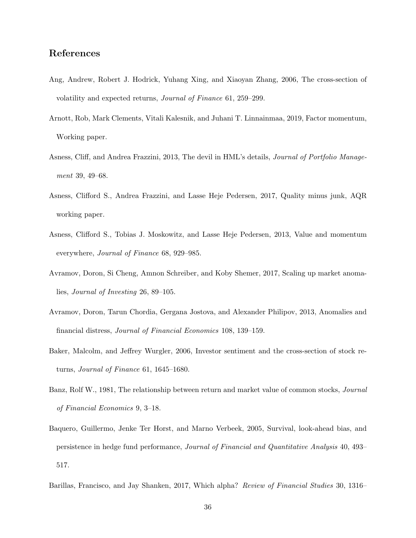## References

- <span id="page-36-8"></span>Ang, Andrew, Robert J. Hodrick, Yuhang Xing, and Xiaoyan Zhang, 2006, The cross-section of volatility and expected returns, Journal of Finance 61, 259–299.
- <span id="page-36-5"></span>Arnott, Rob, Mark Clements, Vitali Kalesnik, and Juhani T. Linnainmaa, 2019, Factor momentum, Working paper.
- <span id="page-36-10"></span>Asness, Cliff, and Andrea Frazzini, 2013, The devil in HML's details, Journal of Portfolio Management 39, 49–68.
- <span id="page-36-7"></span>Asness, Clifford S., Andrea Frazzini, and Lasse Heje Pedersen, 2017, Quality minus junk, AQR working paper.
- <span id="page-36-0"></span>Asness, Clifford S., Tobias J. Moskowitz, and Lasse Heje Pedersen, 2013, Value and momentum everywhere, Journal of Finance 68, 929–985.
- <span id="page-36-4"></span>Avramov, Doron, Si Cheng, Amnon Schreiber, and Koby Shemer, 2017, Scaling up market anomalies, Journal of Investing 26, 89–105.
- <span id="page-36-1"></span>Avramov, Doron, Tarun Chordia, Gergana Jostova, and Alexander Philipov, 2013, Anomalies and financial distress, Journal of Financial Economics 108, 139–159.
- <span id="page-36-3"></span>Baker, Malcolm, and Jeffrey Wurgler, 2006, Investor sentiment and the cross-section of stock returns, Journal of Finance 61, 1645–1680.
- <span id="page-36-6"></span>Banz, Rolf W., 1981, The relationship between return and market value of common stocks, Journal of Financial Economics 9, 3–18.
- <span id="page-36-2"></span>Baquero, Guillermo, Jenke Ter Horst, and Marno Verbeek, 2005, Survival, look-ahead bias, and persistence in hedge fund performance, Journal of Financial and Quantitative Analysis 40, 493– 517.
- <span id="page-36-9"></span>Barillas, Francisco, and Jay Shanken, 2017, Which alpha? Review of Financial Studies 30, 1316–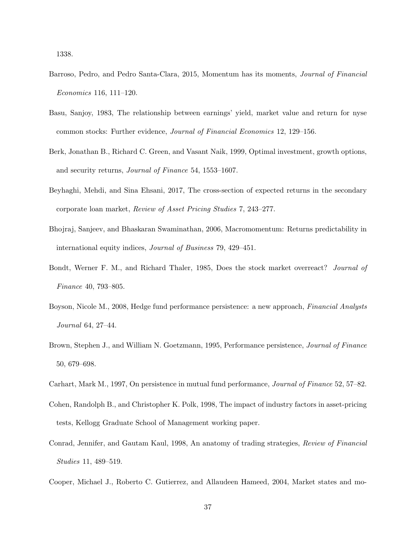1338.

- <span id="page-37-11"></span>Barroso, Pedro, and Pedro Santa-Clara, 2015, Momentum has its moments, Journal of Financial Economics 116, 111–120.
- <span id="page-37-8"></span>Basu, Sanjoy, 1983, The relationship between earnings' yield, market value and return for nyse common stocks: Further evidence, Journal of Financial Economics 12, 129–156.
- <span id="page-37-1"></span>Berk, Jonathan B., Richard C. Green, and Vasant Naik, 1999, Optimal investment, growth options, and security returns, Journal of Finance 54, 1553–1607.
- <span id="page-37-3"></span>Beyhaghi, Mehdi, and Sina Ehsani, 2017, The cross-section of expected returns in the secondary corporate loan market, Review of Asset Pricing Studies 7, 243–277.
- <span id="page-37-7"></span>Bhojraj, Sanjeev, and Bhaskaran Swaminathan, 2006, Macromomentum: Returns predictability in international equity indices, Journal of Business 79, 429–451.
- <span id="page-37-9"></span>Bondt, Werner F. M., and Richard Thaler, 1985, Does the stock market overreact? Journal of Finance 40, 793–805.
- <span id="page-37-6"></span>Boyson, Nicole M., 2008, Hedge fund performance persistence: a new approach, Financial Analysts Journal 64, 27–44.
- <span id="page-37-4"></span>Brown, Stephen J., and William N. Goetzmann, 1995, Performance persistence, *Journal of Finance* 50, 679–698.
- <span id="page-37-10"></span><span id="page-37-5"></span>Carhart, Mark M., 1997, On persistence in mutual fund performance, Journal of Finance 52, 57–82.
- Cohen, Randolph B., and Christopher K. Polk, 1998, The impact of industry factors in asset-pricing tests, Kellogg Graduate School of Management working paper.
- <span id="page-37-0"></span>Conrad, Jennifer, and Gautam Kaul, 1998, An anatomy of trading strategies, Review of Financial Studies 11, 489–519.
- <span id="page-37-2"></span>Cooper, Michael J., Roberto C. Gutierrez, and Allaudeen Hameed, 2004, Market states and mo-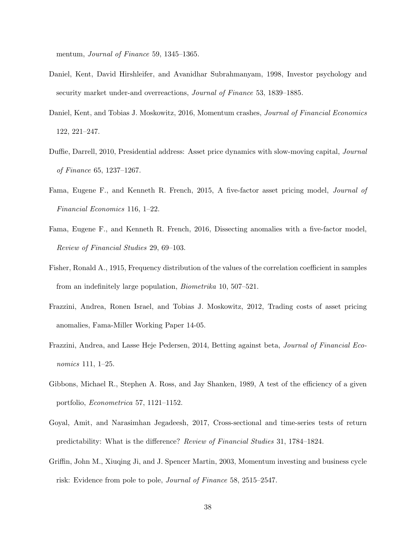mentum, *Journal of Finance* 59, 1345–1365.

- <span id="page-38-1"></span>Daniel, Kent, David Hirshleifer, and Avanidhar Subrahmanyam, 1998, Investor psychology and security market under-and overreactions, Journal of Finance 53, 1839–1885.
- <span id="page-38-9"></span>Daniel, Kent, and Tobias J. Moskowitz, 2016, Momentum crashes, Journal of Financial Economics 122, 221–247.
- <span id="page-38-6"></span>Duffie, Darrell, 2010, Presidential address: Asset price dynamics with slow-moving capital, Journal of Finance 65, 1237–1267.
- <span id="page-38-5"></span>Fama, Eugene F., and Kenneth R. French, 2015, A five-factor asset pricing model, Journal of Financial Economics 116, 1–22.
- <span id="page-38-0"></span>Fama, Eugene F., and Kenneth R. French, 2016, Dissecting anomalies with a five-factor model, Review of Financial Studies 29, 69–103.
- Fisher, Ronald A., 1915, Frequency distribution of the values of the correlation coefficient in samples from an indefinitely large population, Biometrika 10, 507–521.
- <span id="page-38-2"></span>Frazzini, Andrea, Ronen Israel, and Tobias J. Moskowitz, 2012, Trading costs of asset pricing anomalies, Fama-Miller Working Paper 14-05.
- <span id="page-38-7"></span>Frazzini, Andrea, and Lasse Heje Pedersen, 2014, Betting against beta, Journal of Financial Economics 111, 1–25.
- <span id="page-38-8"></span>Gibbons, Michael R., Stephen A. Ross, and Jay Shanken, 1989, A test of the efficiency of a given portfolio, Econometrica 57, 1121–1152.
- <span id="page-38-4"></span>Goyal, Amit, and Narasimhan Jegadeesh, 2017, Cross-sectional and time-series tests of return predictability: What is the difference? Review of Financial Studies 31, 1784–1824.
- <span id="page-38-3"></span>Griffin, John M., Xiuqing Ji, and J. Spencer Martin, 2003, Momentum investing and business cycle risk: Evidence from pole to pole, Journal of Finance 58, 2515–2547.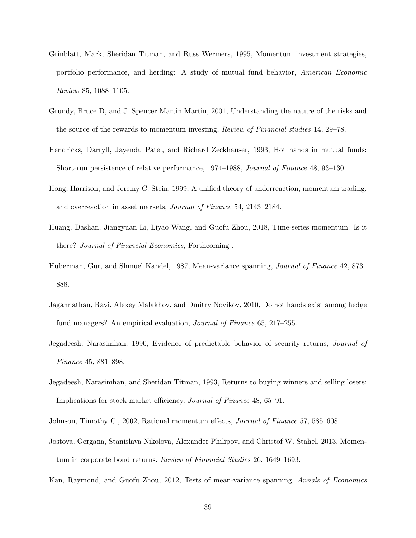- <span id="page-39-6"></span>Grinblatt, Mark, Sheridan Titman, and Russ Wermers, 1995, Momentum investment strategies, portfolio performance, and herding: A study of mutual fund behavior, American Economic Review 85, 1088–1105.
- <span id="page-39-9"></span>Grundy, Bruce D, and J. Spencer Martin Martin, 2001, Understanding the nature of the risks and the source of the rewards to momentum investing, Review of Financial studies 14, 29–78.
- <span id="page-39-5"></span>Hendricks, Darryll, Jayendu Patel, and Richard Zeckhauser, 1993, Hot hands in mutual funds: Short-run persistence of relative performance, 1974–1988, Journal of Finance 48, 93–130.
- <span id="page-39-1"></span>Hong, Harrison, and Jeremy C. Stein, 1999, A unified theory of underreaction, momentum trading, and overreaction in asset markets, Journal of Finance 54, 2143–2184.
- <span id="page-39-8"></span>Huang, Dashan, Jiangyuan Li, Liyao Wang, and Guofu Zhou, 2018, Time-series momentum: Is it there? Journal of Financial Economics, Forthcoming .
- <span id="page-39-11"></span>Huberman, Gur, and Shmuel Kandel, 1987, Mean-variance spanning, Journal of Finance 42, 873– 888.
- <span id="page-39-7"></span>Jagannathan, Ravi, Alexey Malakhov, and Dmitry Novikov, 2010, Do hot hands exist among hedge fund managers? An empirical evaluation, Journal of Finance 65, 217–255.
- <span id="page-39-2"></span>Jegadeesh, Narasimhan, 1990, Evidence of predictable behavior of security returns, Journal of Finance 45, 881–898.
- <span id="page-39-3"></span>Jegadeesh, Narasimhan, and Sheridan Titman, 1993, Returns to buying winners and selling losers: Implications for stock market efficiency, Journal of Finance 48, 65–91.
- <span id="page-39-4"></span><span id="page-39-0"></span>Johnson, Timothy C., 2002, Rational momentum effects, Journal of Finance 57, 585–608.
- Jostova, Gergana, Stanislava Nikolova, Alexander Philipov, and Christof W. Stahel, 2013, Momentum in corporate bond returns, Review of Financial Studies 26, 1649–1693.
- <span id="page-39-10"></span>Kan, Raymond, and Guofu Zhou, 2012, Tests of mean-variance spanning, Annals of Economics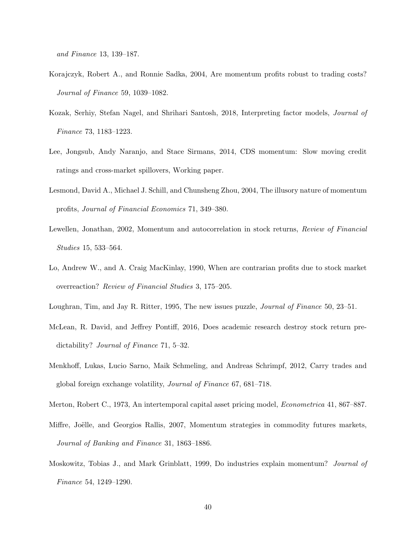and Finance 13, 139–187.

- <span id="page-40-0"></span>Korajczyk, Robert A., and Ronnie Sadka, 2004, Are momentum profits robust to trading costs? Journal of Finance 59, 1039–1082.
- <span id="page-40-6"></span>Kozak, Serhiy, Stefan Nagel, and Shrihari Santosh, 2018, Interpreting factor models, Journal of Finance 73, 1183–1223.
- <span id="page-40-4"></span>Lee, Jongsub, Andy Naranjo, and Stace Sirmans, 2014, CDS momentum: Slow moving credit ratings and cross-market spillovers, Working paper.
- <span id="page-40-1"></span>Lesmond, David A., Michael J. Schill, and Chunsheng Zhou, 2004, The illusory nature of momentum profits, Journal of Financial Economics 71, 349–380.
- <span id="page-40-10"></span>Lewellen, Jonathan, 2002, Momentum and autocorrelation in stock returns, Review of Financial Studies 15, 533–564.
- <span id="page-40-5"></span>Lo, Andrew W., and A. Craig MacKinlay, 1990, When are contrarian profits due to stock market overreaction? Review of Financial Studies 3, 175–205.
- <span id="page-40-9"></span><span id="page-40-7"></span>Loughran, Tim, and Jay R. Ritter, 1995, The new issues puzzle, Journal of Finance 50, 23–51.
- McLean, R. David, and Jeffrey Pontiff, 2016, Does academic research destroy stock return predictability? Journal of Finance 71, 5–32.
- <span id="page-40-3"></span>Menkhoff, Lukas, Lucio Sarno, Maik Schmeling, and Andreas Schrimpf, 2012, Carry trades and global foreign exchange volatility, Journal of Finance 67, 681–718.
- <span id="page-40-11"></span><span id="page-40-2"></span>Merton, Robert C., 1973, An intertemporal capital asset pricing model, Econometrica 41, 867–887.
- Miffre, Joëlle, and Georgios Rallis, 2007, Momentum strategies in commodity futures markets, Journal of Banking and Finance 31, 1863–1886.
- <span id="page-40-8"></span>Moskowitz, Tobias J., and Mark Grinblatt, 1999, Do industries explain momentum? Journal of Finance 54, 1249–1290.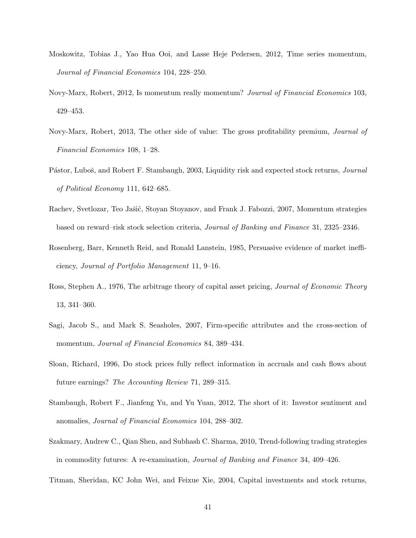- <span id="page-41-1"></span>Moskowitz, Tobias J., Yao Hua Ooi, and Lasse Heje Pedersen, 2012, Time series momentum, Journal of Financial Economics 104, 228–250.
- <span id="page-41-10"></span>Novy-Marx, Robert, 2012, Is momentum really momentum? Journal of Financial Economics 103, 429–453.
- <span id="page-41-5"></span>Novy-Marx, Robert, 2013, The other side of value: The gross profitability premium, Journal of Financial Economics 108, 1–28.
- <span id="page-41-8"></span>Pástor, Luboš, and Robert F. Stambaugh, 2003, Liquidity risk and expected stock returns, *Journal* of Political Economy 111, 642–685.
- <span id="page-41-11"></span>Rachev, Svetlozar, Teo Jašić, Stoyan Stoyanov, and Frank J. Fabozzi, 2007, Momentum strategies based on reward–risk stock selection criteria, Journal of Banking and Finance 31, 2325–2346.
- <span id="page-41-4"></span>Rosenberg, Barr, Kenneth Reid, and Ronald Lanstein, 1985, Persuasive evidence of market inefficiency, Journal of Portfolio Management 11, 9–16.
- <span id="page-41-9"></span>Ross, Stephen A., 1976, The arbitrage theory of capital asset pricing, *Journal of Economic Theory* 13, 341–360.
- <span id="page-41-0"></span>Sagi, Jacob S., and Mark S. Seasholes, 2007, Firm-specific attributes and the cross-section of momentum, *Journal of Financial Economics* 84, 389–434.
- <span id="page-41-7"></span>Sloan, Richard, 1996, Do stock prices fully reflect information in accruals and cash flows about future earnings? The Accounting Review 71, 289–315.
- <span id="page-41-3"></span>Stambaugh, Robert F., Jianfeng Yu, and Yu Yuan, 2012, The short of it: Investor sentiment and anomalies, Journal of Financial Economics 104, 288–302.
- <span id="page-41-2"></span>Szakmary, Andrew C., Qian Shen, and Subhash C. Sharma, 2010, Trend-following trading strategies in commodity futures: A re-examination, Journal of Banking and Finance 34, 409–426.
- <span id="page-41-6"></span>Titman, Sheridan, KC John Wei, and Feixue Xie, 2004, Capital investments and stock returns,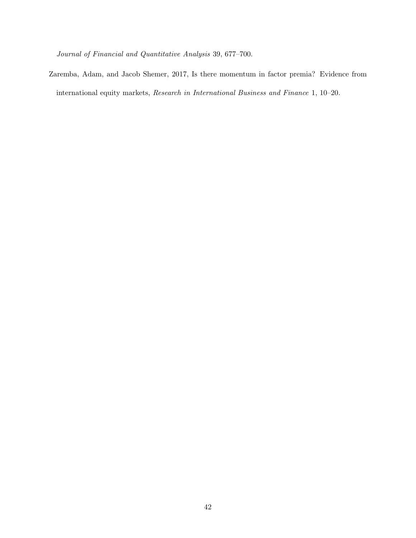Journal of Financial and Quantitative Analysis 39, 677–700.

<span id="page-42-0"></span>Zaremba, Adam, and Jacob Shemer, 2017, Is there momentum in factor premia? Evidence from international equity markets, Research in International Business and Finance 1, 10–20.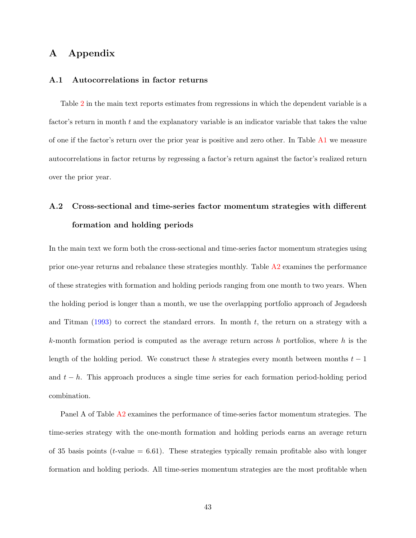## A Appendix

### <span id="page-43-0"></span>A.1 Autocorrelations in factor returns

Table [2](#page-8-0) in the main text reports estimates from regressions in which the dependent variable is a factor's return in month t and the explanatory variable is an indicator variable that takes the value of one if the factor's return over the prior year is positive and zero other. In Table [A1](#page-5-0) we measure autocorrelations in factor returns by regressing a factor's return against the factor's realized return over the prior year.

# <span id="page-43-1"></span>A.2 Cross-sectional and time-series factor momentum strategies with different formation and holding periods

In the main text we form both the cross-sectional and time-series factor momentum strategies using prior one-year returns and rebalance these strategies monthly. Table [A2](#page-8-0) examines the performance of these strategies with formation and holding periods ranging from one month to two years. When the holding period is longer than a month, we use the overlapping portfolio approach of Jegadeesh and Titman  $(1993)$  to correct the standard errors. In month t, the return on a strategy with a k-month formation period is computed as the average return across h portfolios, where h is the length of the holding period. We construct these h strategies every month between months  $t-1$ and  $t - h$ . This approach produces a single time series for each formation period-holding period combination.

Panel A of Table [A2](#page-8-0) examines the performance of time-series factor momentum strategies. The time-series strategy with the one-month formation and holding periods earns an average return of 35 basis points ( $t$ -value = 6.61). These strategies typically remain profitable also with longer formation and holding periods. All time-series momentum strategies are the most profitable when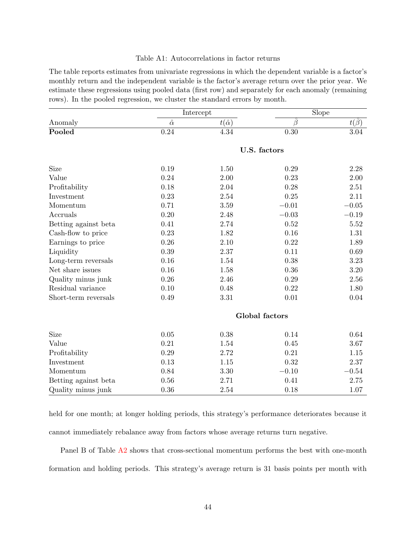#### Table A1: Autocorrelations in factor returns

The table reports estimates from univariate regressions in which the dependent variable is a factor's monthly return and the independent variable is the factor's average return over the prior year. We estimate these regressions using pooled data (first row) and separately for each anomaly (remaining rows). In the pooled regression, we cluster the standard errors by month.

|                      |                | Intercept         | Slope          |            |  |
|----------------------|----------------|-------------------|----------------|------------|--|
| Anomaly              | $\hat{\alpha}$ | $t(\hat{\alpha})$ | $\beta$        | $t(\beta)$ |  |
| Pooled               | 0.24           | 4.34              | 0.30           | 3.04       |  |
|                      |                |                   | U.S. factors   |            |  |
| Size                 | 0.19           | 1.50              | 0.29           | 2.28       |  |
| Value                | 0.24           | 2.00              | 0.23           | 2.00       |  |
| Profitability        | 0.18           | 2.04              | 0.28           | 2.51       |  |
| Investment           | 0.23           | 2.54              | 0.25           | 2.11       |  |
| Momentum             | 0.71           | $3.59\,$          | $-0.01$        | $-0.05$    |  |
| Accruals             | 0.20           | 2.48              | $-0.03$        | $-0.19$    |  |
| Betting against beta | 0.41           | 2.74              | 0.52           | 5.52       |  |
| Cash-flow to price   | 0.23           | 1.82              | 0.16           | 1.31       |  |
| Earnings to price    | 0.26           | 2.10              | 0.22           | 1.89       |  |
| Liquidity            | 0.39           | 2.37              | 0.11           | 0.69       |  |
| Long-term reversals  | 0.16           | 1.54              | 0.38           | $3.23\,$   |  |
| Net share issues     | 0.16           | 1.58              | 0.36           | $3.20\,$   |  |
| Quality minus junk   | 0.26           | 2.46              | 0.29           | $2.56\,$   |  |
| Residual variance    | 0.10           | 0.48              | 0.22           | 1.80       |  |
| Short-term reversals | 0.49           | $3.31\,$          | 0.01           | 0.04       |  |
|                      |                |                   | Global factors |            |  |
| Size                 | 0.05           | 0.38              | 0.14           | 0.64       |  |
| Value                | 0.21           | 1.54              | 0.45           | 3.67       |  |
| Profitability        | 0.29           | 2.72              | 0.21           | 1.15       |  |
| Investment           | 0.13           | 1.15              | 0.32           | 2.37       |  |
| Momentum             | 0.84           | 3.30              | $-0.10$        | $-0.54$    |  |
| Betting against beta | $0.56\,$       | 2.71              | 0.41           | $2.75\,$   |  |
| Quality minus junk   | 0.36           | 2.54              | 0.18           | 1.07       |  |

held for one month; at longer holding periods, this strategy's performance deteriorates because it cannot immediately rebalance away from factors whose average returns turn negative.

Panel B of Table [A2](#page-8-0) shows that cross-sectional momentum performs the best with one-month formation and holding periods. This strategy's average return is 31 basis points per month with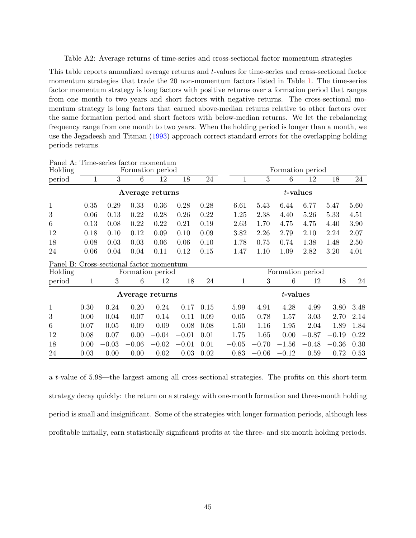Table A2: Average returns of time-series and cross-sectional factor momentum strategies

This table reports annualized average returns and t-values for time-series and cross-sectional factor momentum strategies that trade the 20 non-momentum factors listed in Table [1.](#page-5-0) The time-series factor momentum strategy is long factors with positive returns over a formation period that ranges from one month to two years and short factors with negative returns. The cross-sectional momentum strategy is long factors that earned above-median returns relative to other factors over the same formation period and short factors with below-median returns. We let the rebalancing frequency range from one month to two years. When the holding period is longer than a month, we use the Jegadeesh and Titman [\(1993\)](#page-39-3) approach correct standard errors for the overlapping holding periods returns.

| Holding                                  |      |                  | Formation period |         |         |      |              |         |             | Formation period |         |      |
|------------------------------------------|------|------------------|------------------|---------|---------|------|--------------|---------|-------------|------------------|---------|------|
| period                                   | 1    | $\boldsymbol{3}$ | 6                | 12      | 18      | 24   | 1            | 3       | 6           | 12               | 18      | 24   |
|                                          |      |                  | Average returns  |         |         |      |              |         |             | $t$ -values      |         |      |
| $\mathbf{1}$                             | 0.35 | 0.29             | 0.33             | 0.36    | 0.28    | 0.28 | 6.61         | 5.43    | 6.44        | 6.77             | 5.47    | 5.60 |
| 3                                        | 0.06 | 0.13             | 0.22             | 0.28    | 0.26    | 0.22 | 1.25         | 2.38    | 4.40        | 5.26             | 5.33    | 4.51 |
| $6\,$                                    | 0.13 | 0.08             | 0.22             | 0.22    | 0.21    | 0.19 | 2.63         | 1.70    | 4.75        | 4.75             | 4.40    | 3.90 |
| 12                                       | 0.18 | 0.10             | 0.12             | 0.09    | 0.10    | 0.09 | 3.82         | 2.26    | 2.79        | 2.10             | 2.24    | 2.07 |
| 18                                       | 0.08 | 0.03             | 0.03             | 0.06    | 0.06    | 0.10 | 1.78         | 0.75    | 0.74        | 1.38             | 1.48    | 2.50 |
| 24                                       | 0.06 | 0.04             | 0.04             | 0.11    | 0.12    | 0.15 | 1.47         | 1.10    | 1.09        | 2.82             | 3.20    | 4.01 |
| Panel B: Cross-sectional factor momentum |      |                  |                  |         |         |      |              |         |             |                  |         |      |
| Holding                                  |      |                  | Formation period |         |         |      |              |         |             | Formation period |         |      |
| period                                   | 1    | 3                | 6                | 12      | 18      | 24   | $\mathbf{1}$ | 3       | 6           | 12               | 18      | 24   |
|                                          |      |                  | Average returns  |         |         |      |              |         | $t$ -values |                  |         |      |
| $\mathbf{1}$                             | 0.30 | 0.24             | 0.20             | 0.24    | 0.17    | 0.15 | 5.99         | 4.91    | 4.28        | 4.99             | 3.80    | 3.48 |
| 3                                        | 0.00 | 0.04             | 0.07             | 0.14    | 0.11    | 0.09 | 0.05         | 0.78    | 1.57        | 3.03             | 2.70    | 2.14 |
| $6\,$                                    | 0.07 | 0.05             | 0.09             | 0.09    | 0.08    | 0.08 | 1.50         | 1.16    | 1.95        | 2.04             | 1.89    | 1.84 |
| 12                                       | 0.08 | 0.07             | 0.00             | $-0.04$ | $-0.01$ | 0.01 | 1.75         | 1.65    | 0.00        | $-0.87$          | $-0.19$ | 0.22 |
| 18                                       | 0.00 | $-0.03$          | $-0.06$          | $-0.02$ | $-0.01$ | 0.01 | $-0.05$      | $-0.70$ | $-1.56$     | $-0.48$          | $-0.36$ | 0.30 |
| 24                                       | 0.03 | 0.00             | 0.00             | 0.02    | 0.03    | 0.02 | 0.83         | $-0.06$ | $-0.12$     | 0.59             | 0.72    | 0.53 |

Panel A: Time-series factor momentum

a t-value of 5.98—the largest among all cross-sectional strategies. The profits on this short-term strategy decay quickly: the return on a strategy with one-month formation and three-month holding period is small and insignificant. Some of the strategies with longer formation periods, although less profitable initially, earn statistically significant profits at the three- and six-month holding periods.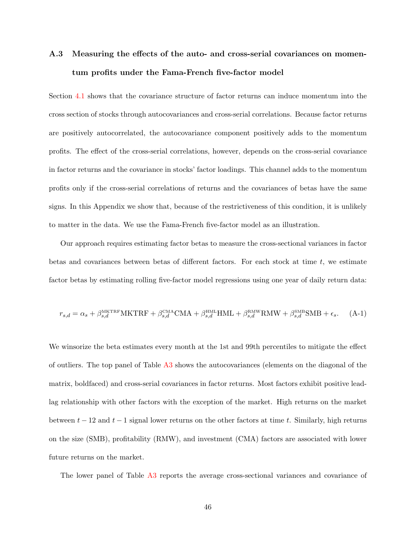# <span id="page-46-0"></span>A.3 Measuring the effects of the auto- and cross-serial covariances on momentum profits under the Fama-French five-factor model

Section [4.1](#page-15-2) shows that the covariance structure of factor returns can induce momentum into the cross section of stocks through autocovariances and cross-serial correlations. Because factor returns are positively autocorrelated, the autocovariance component positively adds to the momentum profits. The effect of the cross-serial correlations, however, depends on the cross-serial covariance in factor returns and the covariance in stocks' factor loadings. This channel adds to the momentum profits only if the cross-serial correlations of returns and the covariances of betas have the same signs. In this Appendix we show that, because of the restrictiveness of this condition, it is unlikely to matter in the data. We use the Fama-French five-factor model as an illustration.

Our approach requires estimating factor betas to measure the cross-sectional variances in factor betas and covariances between betas of different factors. For each stock at time  $t$ , we estimate factor betas by estimating rolling five-factor model regressions using one year of daily return data:

$$
r_{s,d} = \alpha_s + \beta_{s,d}^{\text{MKTRF}} \text{MKTRF} + \beta_{s,d}^{\text{CMA}} \text{CMA} + \beta_{s,d}^{\text{HML}} \text{HML} + \beta_{s,d}^{\text{RMW}} \text{RMW} + \beta_{s,d}^{\text{SMB}} \text{SMB} + \epsilon_s. \tag{A-1}
$$

We winsorize the beta estimates every month at the 1st and 99th percentiles to mitigate the effect of outliers. The top panel of Table [A3](#page-9-0) shows the autocovariances (elements on the diagonal of the matrix, boldfaced) and cross-serial covariances in factor returns. Most factors exhibit positive leadlag relationship with other factors with the exception of the market. High returns on the market between  $t - 12$  and  $t - 1$  signal lower returns on the other factors at time t. Similarly, high returns on the size (SMB), profitability (RMW), and investment (CMA) factors are associated with lower future returns on the market.

The lower panel of Table [A3](#page-9-0) reports the average cross-sectional variances and covariance of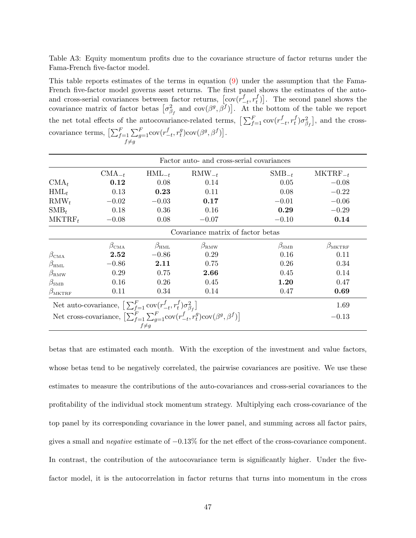Table A3: Equity momentum profits due to the covariance structure of factor returns under the Fama-French five-factor model.

This table reports estimates of the terms in equation [\(9\)](#page-17-0) under the assumption that the Fama-French five-factor model governs asset returns. The first panel shows the estimates of the autoand cross-serial covariances between factor returns,  $\left[\text{cov}(r_{-}^{f})\right]$  $_{-t}^{f}, r_t^f$  $\begin{bmatrix} t \\ t \end{bmatrix}$ . The second panel shows the covariance matrix of factor betas  $\left[\sigma_{\beta_f}^2 \text{ and } \text{cov}(\beta^g, \beta^f)\right]$ . At the bottom of the table we report the net total effects of the autocovariance-related terms,  $\left[\sum_{f=1}^{F} \text{cov}(r_{-}^{f})\right]$  $_{-t}^{f}, r_t^f$  $\left[ \begin{matrix} f \\ f \end{matrix} \right]$ , and the crosscovariance terms,  $\left[\sum_{f=1}^{F} \sum_{g=1}^{F}\right]$  $f \neq g$  $\operatorname{cov}(r^f_ _{-t}^{f}$ ,  $r_t^g$  $_t^g$ )cov $(\beta^g, \beta^f)$ .

|                        | Factor auto- and cross-serial covariances                                                         |                   |                                                                                                               |                   |                     |  |  |  |  |
|------------------------|---------------------------------------------------------------------------------------------------|-------------------|---------------------------------------------------------------------------------------------------------------|-------------------|---------------------|--|--|--|--|
|                        | $CMA_{-t}$                                                                                        | $HML_{-t}$        | $\text{RMW}_{-t}$                                                                                             | $\text{SMB}_{-t}$ | $MKTRF_{-t}$        |  |  |  |  |
| $\text{CMA}_t$         | 0.12                                                                                              | 0.08              | 0.14                                                                                                          | 0.05              | $-0.08$             |  |  |  |  |
| $HML_t$                | 0.13                                                                                              | 0.23              | 0.11                                                                                                          | 0.08              | $-0.22$             |  |  |  |  |
| $\text{RMW}_t$         | $-0.02$                                                                                           | $-0.03$           | 0.17                                                                                                          | $-0.01$           | $-0.06$             |  |  |  |  |
| $\text{SMB}_t$         | 0.18                                                                                              | 0.36              | 0.16                                                                                                          | 0.29              | $-0.29$             |  |  |  |  |
| $MKTRF_t$              | $-0.08$                                                                                           | 0.08              | $-0.07$                                                                                                       | $-0.10$           | 0.14                |  |  |  |  |
|                        |                                                                                                   |                   | Covariance matrix of factor betas                                                                             |                   |                     |  |  |  |  |
|                        | $\beta_{\rm CMA}$                                                                                 | $\beta_{\rm HML}$ | $\beta_{\rm RMW}$                                                                                             | $\beta_{\rm SMB}$ | $\beta_{\rm MKTRF}$ |  |  |  |  |
| $\beta_{\rm CMA}$      | 2.52                                                                                              | $-0.86$           | 0.29                                                                                                          | 0.16              | 0.11                |  |  |  |  |
| $\beta_{\rm HML}$      | $-0.86$                                                                                           | 2.11              | 0.75                                                                                                          | 0.26              | 0.34                |  |  |  |  |
| $\beta_{\rm RMW}$      | 0.29                                                                                              | 0.75              | 2.66                                                                                                          | 0.45              | 0.14                |  |  |  |  |
| $\beta_{\rm SMB}$      | 0.16                                                                                              | 0.26              | 0.45                                                                                                          | 1.20              | 0.47                |  |  |  |  |
| $\beta_{\text{MKTRF}}$ | 0.11                                                                                              | 0.34              | 0.14                                                                                                          | 0.47              | 0.69                |  |  |  |  |
|                        | Net auto-covariance, $\left[\,\sum_{f=1}^F \text{cov}(r_{-t}^f, r_t^f) \sigma_{\beta_f}^2\right]$ |                   |                                                                                                               |                   | 1.69                |  |  |  |  |
|                        |                                                                                                   |                   | Net cross-covariance, $\left[\sum_{f=1}^{F} \sum_{g=1}^{F} cov(r_{-t}^f, r_t^g) cov(\beta^g, \beta^f)\right]$ |                   | $-0.13$             |  |  |  |  |
|                        |                                                                                                   | $f \neq g$        |                                                                                                               |                   |                     |  |  |  |  |

betas that are estimated each month. With the exception of the investment and value factors, whose betas tend to be negatively correlated, the pairwise covariances are positive. We use these estimates to measure the contributions of the auto-covariances and cross-serial covariances to the profitability of the individual stock momentum strategy. Multiplying each cross-covariance of the top panel by its corresponding covariance in the lower panel, and summing across all factor pairs, gives a small and negative estimate of −0.13% for the net effect of the cross-covariance component. In contrast, the contribution of the autocovariance term is significantly higher. Under the fivefactor model, it is the autocorrelation in factor returns that turns into momentum in the cross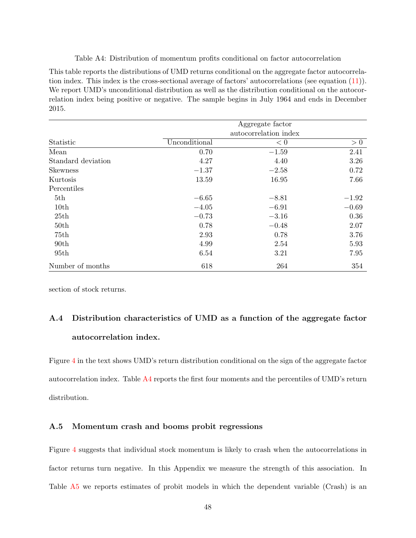Table A4: Distribution of momentum profits conditional on factor autocorrelation

This table reports the distributions of UMD returns conditional on the aggregate factor autocorrelation index. This index is the cross-sectional average of factors' autocorrelations (see equation [\(11\)](#page-26-2)). We report UMD's unconditional distribution as well as the distribution conditional on the autocorrelation index being positive or negative. The sample begins in July 1964 and ends in December 2015.

|                    | Aggregate factor<br>autocorrelation index |         |         |  |  |  |
|--------------------|-------------------------------------------|---------|---------|--|--|--|
|                    |                                           |         |         |  |  |  |
| Statistic          | Unconditional                             | < 0     | > 0     |  |  |  |
| Mean               | 0.70                                      | $-1.59$ | 2.41    |  |  |  |
| Standard deviation | 4.27                                      | 4.40    | 3.26    |  |  |  |
| <b>Skewness</b>    | $-1.37$                                   | $-2.58$ | 0.72    |  |  |  |
| Kurtosis           | 13.59                                     | 16.95   | 7.66    |  |  |  |
| Percentiles        |                                           |         |         |  |  |  |
| 5th                | $-6.65$                                   | $-8.81$ | $-1.92$ |  |  |  |
| 10th               | $-4.05$                                   | $-6.91$ | $-0.69$ |  |  |  |
| 25th               | $-0.73$                                   | $-3.16$ | 0.36    |  |  |  |
| 50th               | 0.78                                      | $-0.48$ | 2.07    |  |  |  |
| 75th               | 2.93                                      | 0.78    | 3.76    |  |  |  |
| 90 <sub>th</sub>   | 4.99                                      | 2.54    | 5.93    |  |  |  |
| 95th               | 6.54                                      | 3.21    | 7.95    |  |  |  |
| Number of months   | 618                                       | 264     | 354     |  |  |  |

section of stock returns.

# <span id="page-48-0"></span>A.4 Distribution characteristics of UMD as a function of the aggregate factor autocorrelation index.

Figure [4](#page-27-0) in the text shows UMD's return distribution conditional on the sign of the aggregate factor autocorrelation index. Table [A4](#page-14-0) reports the first four moments and the percentiles of UMD's return distribution.

### <span id="page-48-1"></span>A.5 Momentum crash and booms probit regressions

Figure [4](#page-27-0) suggests that individual stock momentum is likely to crash when the autocorrelations in factor returns turn negative. In this Appendix we measure the strength of this association. In Table [A5](#page-19-0) we reports estimates of probit models in which the dependent variable (Crash) is an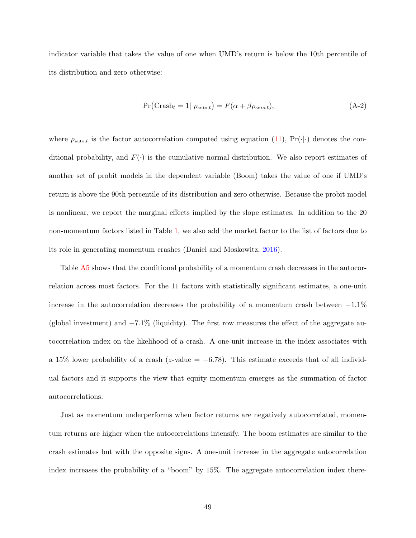indicator variable that takes the value of one when UMD's return is below the 10th percentile of its distribution and zero otherwise:

$$
Pr(Crash_t = 1 | \rho_{\text{auto},t}) = F(\alpha + \beta \rho_{\text{auto},t}), \qquad (A-2)
$$

where  $\rho_{\text{auto},t}$  is the factor autocorrelation computed using equation [\(11\)](#page-26-2), Pr( $\cdot|\cdot$ ) denotes the conditional probability, and  $F(\cdot)$  is the cumulative normal distribution. We also report estimates of another set of probit models in the dependent variable (Boom) takes the value of one if UMD's return is above the 90th percentile of its distribution and zero otherwise. Because the probit model is nonlinear, we report the marginal effects implied by the slope estimates. In addition to the 20 non-momentum factors listed in Table [1,](#page-5-0) we also add the market factor to the list of factors due to its role in generating momentum crashes (Daniel and Moskowitz, [2016\)](#page-38-9).

Table [A5](#page-19-0) shows that the conditional probability of a momentum crash decreases in the autocorrelation across most factors. For the 11 factors with statistically significant estimates, a one-unit increase in the autocorrelation decreases the probability of a momentum crash between −1.1% (global investment) and −7.1% (liquidity). The first row measures the effect of the aggregate autocorrelation index on the likelihood of a crash. A one-unit increase in the index associates with a 15% lower probability of a crash (z-value =  $-6.78$ ). This estimate exceeds that of all individual factors and it supports the view that equity momentum emerges as the summation of factor autocorrelations.

Just as momentum underperforms when factor returns are negatively autocorrelated, momentum returns are higher when the autocorrelations intensify. The boom estimates are similar to the crash estimates but with the opposite signs. A one-unit increase in the aggregate autocorrelation index increases the probability of a "boom" by 15%. The aggregate autocorrelation index there-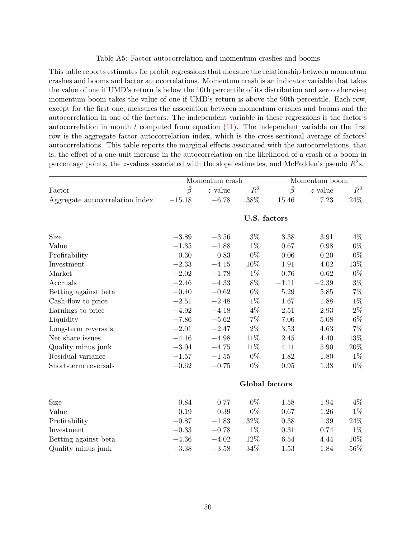#### Table A5: Factor autocorrelation and momentum crashes and booms

This table reports estimates for probit regressions that measure the relationship between momentum crashes and booms and factor autocorrelations. Momentum crash is an indicator variable that takes the value of one if UMD's return is below the 10th percentile of its distribution and zero otherwise; momentum boom takes the value of one if UMD's return is above the 90th percentile. Each row, except for the first one, measures the association between momentum crashes and booms and the autocorrelation in one of the factors. The independent variable in these regressions is the factor's autocorrelation in month  $t$  computed from equation  $(11)$ . The independent variable on the first row is the aggregate factor autocorrelation index, which is the cross-sectional average of factors' autocorrelations. This table reports the marginal effects associated with the autocorrelations, that is, the effect of a one-unit increase in the autocorrelation on the likelihood of a crash or a boom in percentage points, the z-values associated with the slope estimates, and McFadden's pseudo  $R^2$ s.

|                                 | Momentum crash |              |                  | Momentum boom     |            |        |  |  |
|---------------------------------|----------------|--------------|------------------|-------------------|------------|--------|--|--|
| Factor                          | Ĝ              | $z$ -value   | $\overline{R^2}$ | $\widehat{\beta}$ | $z$ -value | $R^2$  |  |  |
| Aggregate autocorrelation index | $-15.18$       | $-6.78$      | $38\%$           | 15.46             | 7.23       | $24\%$ |  |  |
|                                 |                | U.S. factors |                  |                   |            |        |  |  |
| Size                            | $-3.89$        | $-3.56$      | $3\%$            | 3.38              | 3.91       | $4\%$  |  |  |
| Value                           | $-1.35$        | $-1.88$      | $1\%$            | 0.67              | 0.98       | $0\%$  |  |  |
| Profitability                   | 0.30           | 0.83         | $0\%$            | 0.06              | 0.20       | $0\%$  |  |  |
| Investment                      | $-2.33$        | $-4.15$      | $10\%$           | 1.91              | 4.02       | 13%    |  |  |
| Market                          | $-2.02$        | $-1.78$      | $1\%$            | 0.76              | 0.62       | $0\%$  |  |  |
| Accruals                        | $-2.46$        | $-4.33$      | $8\%$            | $-1.11$           | $-2.39$    | $3\%$  |  |  |
| Betting against beta            | $-0.40$        | $-0.62$      | $0\%$            | 5.29              | 5.85       | $7\%$  |  |  |
| Cash-flow to price              | $-2.51$        | $-2.48$      | $1\%$            | 1.67              | 1.88       | $1\%$  |  |  |
| Earnings to price               | $-4.92$        | $-4.18$      | 4%               | 2.51              | 2.93       | $2\%$  |  |  |
| Liquidity                       | $-7.86$        | $-5.62$      | $7\%$            | 7.06              | 5.08       | $6\%$  |  |  |
| Long-term reversals             | $-2.01$        | $-2.47$      | $2\%$            | 3.53              | 4.63       | $7\%$  |  |  |
| Net share issues                | $-4.16$        | $-4.98$      | $11\%$           | 2.45              | 4.40       | $13\%$ |  |  |
| Quality minus junk              | $-3.04$        | $-4.75$      | 11%              | 4.11              | 5.90       | 20%    |  |  |
| Residual variance               | $-1.57$        | $-1.55$      | $0\%$            | 1.82              | 1.80       | $1\%$  |  |  |
| Short-term reversals            | $-0.62$        | $-0.75$      | $0\%$            | 0.95              | 1.38       | $0\%$  |  |  |
|                                 | Global factors |              |                  |                   |            |        |  |  |
| Size                            | 0.84           | 0.77         | $0\%$            | 1.58              | 1.94       | $4\%$  |  |  |
| Value                           | 0.19           | 0.39         | $0\%$            | 0.67              | 1.26       | $1\%$  |  |  |
| Profitability                   | $-0.87$        | $-1.83$      | $32\%$           | 0.38              | 1.39       | $24\%$ |  |  |
| Investment                      | $-0.33$        | $-0.78$      | $1\%$            | 0.31              | 0.74       | $1\%$  |  |  |
| Betting against beta            | $-4.36$        | $-4.02$      | 12%              | 6.54              | 4.44       | 10%    |  |  |
| Quality minus junk              | $-3.38$        | $-3.58$      | 34%              | 1.53              | 1.84       | 56%    |  |  |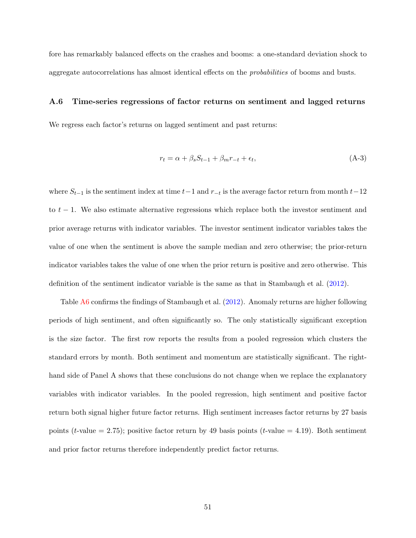fore has remarkably balanced effects on the crashes and booms: a one-standard deviation shock to aggregate autocorrelations has almost identical effects on the probabilities of booms and busts.

#### <span id="page-51-0"></span>A.6 Time-series regressions of factor returns on sentiment and lagged returns

We regress each factor's returns on lagged sentiment and past returns:

$$
r_t = \alpha + \beta_s S_{t-1} + \beta_m r_{-t} + \epsilon_t,\tag{A-3}
$$

where  $S_{t-1}$  is the sentiment index at time  $t-1$  and  $r_{-t}$  is the average factor return from month  $t-12$ to  $t - 1$ . We also estimate alternative regressions which replace both the investor sentiment and prior average returns with indicator variables. The investor sentiment indicator variables takes the value of one when the sentiment is above the sample median and zero otherwise; the prior-return indicator variables takes the value of one when the prior return is positive and zero otherwise. This definition of the sentiment indicator variable is the same as that in Stambaugh et al. [\(2012\)](#page-41-3).

Table [A6](#page-22-0) confirms the findings of Stambaugh et al. [\(2012\)](#page-41-3). Anomaly returns are higher following periods of high sentiment, and often significantly so. The only statistically significant exception is the size factor. The first row reports the results from a pooled regression which clusters the standard errors by month. Both sentiment and momentum are statistically significant. The righthand side of Panel A shows that these conclusions do not change when we replace the explanatory variables with indicator variables. In the pooled regression, high sentiment and positive factor return both signal higher future factor returns. High sentiment increases factor returns by 27 basis points (*t*-value = 2.75); positive factor return by 49 basis points (*t*-value = 4.19). Both sentiment and prior factor returns therefore independently predict factor returns.